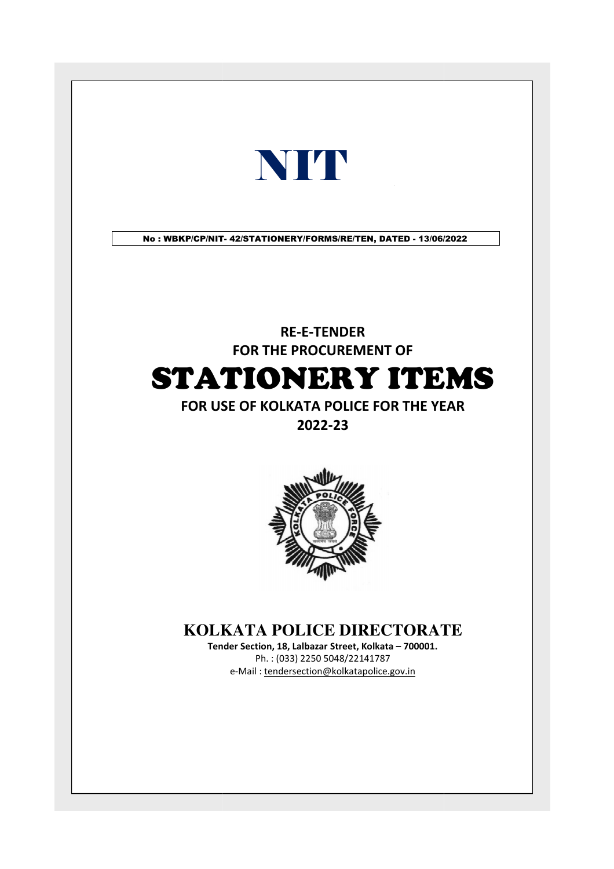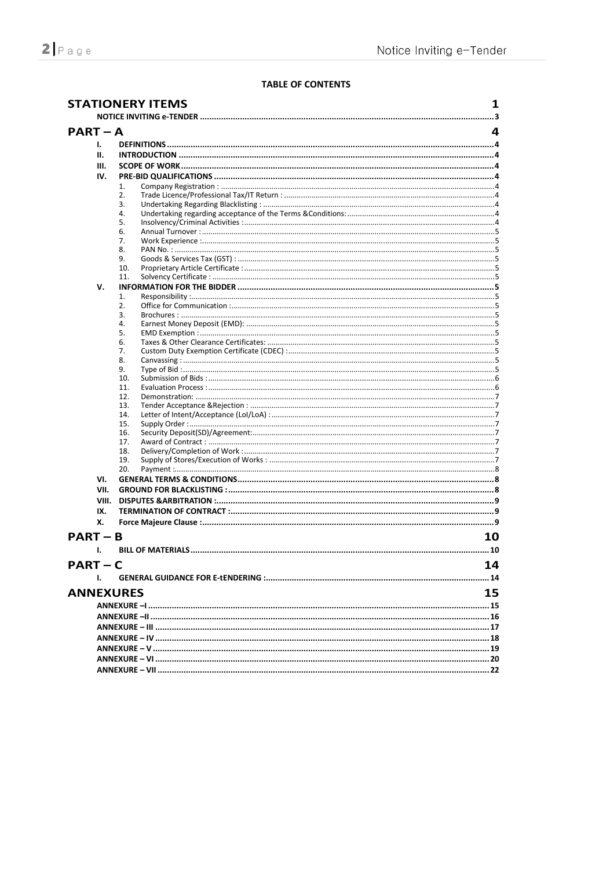### **TABLE OF CONTENTS**

|            |       | <b>STATIONERY ITEMS</b> | 1  |
|------------|-------|-------------------------|----|
| $PART - A$ |       |                         | 4  |
|            | Ι.    |                         |    |
|            | н.    |                         |    |
|            |       |                         |    |
|            | III.  |                         |    |
|            | IV.   |                         |    |
|            |       | 1.                      |    |
|            |       | 2.<br>3.                |    |
|            |       | 4.                      |    |
|            |       | 5.                      |    |
|            |       | 6.                      |    |
|            |       | 7.                      |    |
|            |       | 8.                      |    |
|            |       | 9.                      |    |
|            |       | 10.                     |    |
|            |       | 11.                     |    |
|            | v.    |                         |    |
|            |       | 1.<br>2.                |    |
|            |       | 3.                      |    |
|            |       | 4.                      |    |
|            |       | 5.                      |    |
|            |       | 6.                      |    |
|            |       | 7.                      |    |
|            |       | 8.                      |    |
|            |       | 9.                      |    |
|            |       | 10.                     |    |
|            |       | 11.                     |    |
|            |       | 12.<br>13.              |    |
|            |       | 14.                     |    |
|            |       | 15.                     |    |
|            |       | 16.                     |    |
|            |       | 17.                     |    |
|            |       | 18.                     |    |
|            |       | 19.                     |    |
|            |       | 20.                     |    |
|            | VI.   |                         |    |
|            | VII.  |                         |    |
|            | VIII. |                         |    |
|            | IX.   |                         |    |
|            | х.    |                         |    |
| $PART - B$ |       |                         | 10 |
|            | ı.    |                         |    |
|            |       |                         |    |
| $PART - C$ | L.    |                         | 14 |
|            |       |                         |    |
|            |       | <b>ANNEXURES</b>        | 15 |
|            |       |                         |    |
|            |       |                         |    |
|            |       |                         |    |
|            |       |                         |    |
|            |       |                         |    |
|            |       |                         |    |
|            |       |                         |    |
|            |       |                         |    |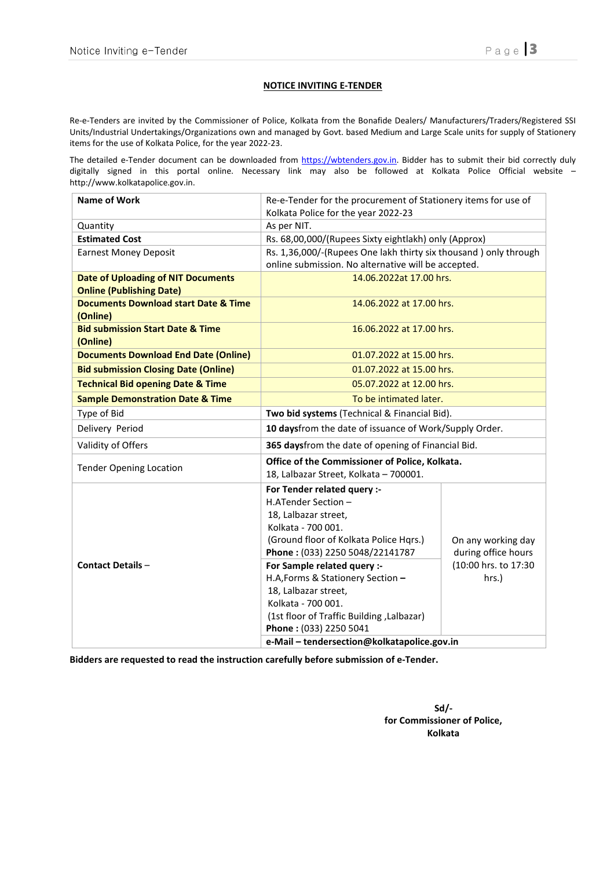Re-e-Tenders are invited by the Commissioner of Police, Kolkata from the Bonafide Dealers/ Manufacturers/Traders/Registered SSI Units/Industrial Undertakings/Organizations own and managed by Govt. based Medium and Large Scale units for supply of Stationery items for the use of Kolkata Police, for the year 2022-23.

The detailed e-Tender document can be downloaded from https://wbtenders.gov.in. Bidder has to submit their bid correctly duly digitally signed in this portal online. Necessary link may also be followed at Kolkata Police Official website – http://www.kolkatapolice.gov.in.

| <b>Name of Work</b>                                         | Re-e-Tender for the procurement of Stationery items for use of    |                      |  |  |  |
|-------------------------------------------------------------|-------------------------------------------------------------------|----------------------|--|--|--|
|                                                             | Kolkata Police for the year 2022-23                               |                      |  |  |  |
| Quantity                                                    | As per NIT.                                                       |                      |  |  |  |
| <b>Estimated Cost</b>                                       | Rs. 68,00,000/(Rupees Sixty eightlakh) only (Approx)              |                      |  |  |  |
| <b>Earnest Money Deposit</b>                                | Rs. 1,36,000/-(Rupees One lakh thirty six thousand ) only through |                      |  |  |  |
|                                                             | online submission. No alternative will be accepted.               |                      |  |  |  |
| <b>Date of Uploading of NIT Documents</b>                   | 14.06.2022at 17.00 hrs.                                           |                      |  |  |  |
| <b>Online (Publishing Date)</b>                             |                                                                   |                      |  |  |  |
| <b>Documents Download start Date &amp; Time</b><br>(Online) | 14.06.2022 at 17.00 hrs.                                          |                      |  |  |  |
| <b>Bid submission Start Date &amp; Time</b>                 | 16.06.2022 at 17.00 hrs.                                          |                      |  |  |  |
| (Online)                                                    |                                                                   |                      |  |  |  |
| <b>Documents Download End Date (Online)</b>                 | 01.07.2022 at 15.00 hrs.                                          |                      |  |  |  |
| <b>Bid submission Closing Date (Online)</b>                 | 01.07.2022 at 15.00 hrs.                                          |                      |  |  |  |
| <b>Technical Bid opening Date &amp; Time</b>                | 05.07.2022 at 12.00 hrs.                                          |                      |  |  |  |
| <b>Sample Demonstration Date &amp; Time</b>                 | To be intimated later.                                            |                      |  |  |  |
| Type of Bid                                                 | Two bid systems (Technical & Financial Bid).                      |                      |  |  |  |
| Delivery Period                                             | 10 daysfrom the date of issuance of Work/Supply Order.            |                      |  |  |  |
| Validity of Offers                                          | 365 daysfrom the date of opening of Financial Bid.                |                      |  |  |  |
| <b>Tender Opening Location</b>                              | Office of the Commissioner of Police, Kolkata.                    |                      |  |  |  |
|                                                             | 18, Lalbazar Street, Kolkata - 700001.                            |                      |  |  |  |
|                                                             | For Tender related query :-                                       |                      |  |  |  |
|                                                             | H.ATender Section -                                               |                      |  |  |  |
|                                                             | 18, Lalbazar street,                                              |                      |  |  |  |
|                                                             | Kolkata - 700 001.                                                |                      |  |  |  |
|                                                             | (Ground floor of Kolkata Police Hqrs.)                            | On any working day   |  |  |  |
|                                                             | Phone: (033) 2250 5048/22141787                                   | during office hours  |  |  |  |
| <b>Contact Details -</b>                                    | For Sample related query :-                                       | (10:00 hrs. to 17:30 |  |  |  |
|                                                             | H.A, Forms & Stationery Section -                                 | hrs.)                |  |  |  |
|                                                             | 18, Lalbazar street,                                              |                      |  |  |  |
|                                                             | Kolkata - 700 001.                                                |                      |  |  |  |
|                                                             | (1st floor of Traffic Building, Lalbazar)                         |                      |  |  |  |
|                                                             | Phone: (033) 2250 5041                                            |                      |  |  |  |
|                                                             | e-Mail - tendersection@kolkatapolice.gov.in                       |                      |  |  |  |

Bidders are requested to read the instruction carefully before submission of e-Tender.

Sd/ for Commissioner of Police, Kolkata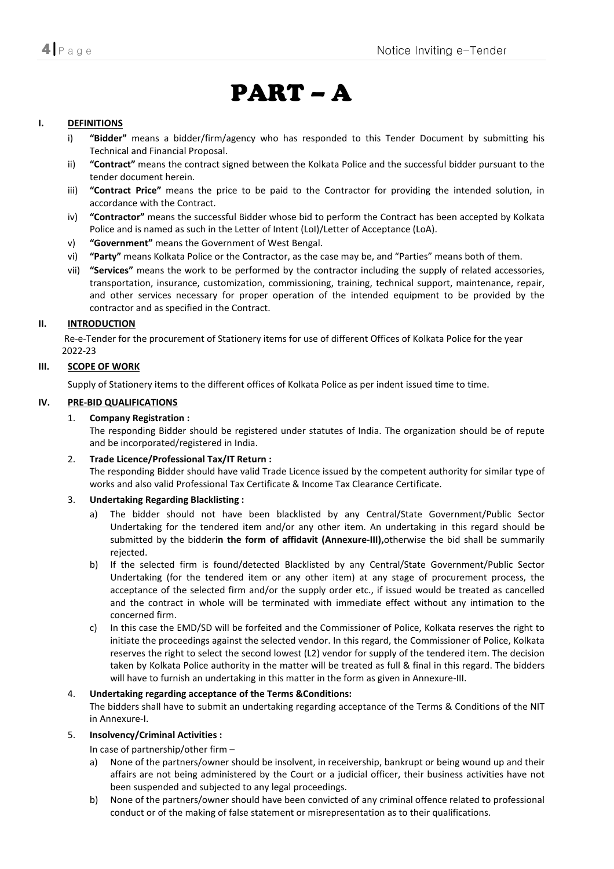# PART – A

#### I. DEFINITIONS

- i) **"Bidder"** means a bidder/firm/agency who has responded to this Tender Document by submitting his Technical and Financial Proposal.
- ii) "Contract" means the contract signed between the Kolkata Police and the successful bidder pursuant to the tender document herein.
- iii) "Contract Price" means the price to be paid to the Contractor for providing the intended solution, in accordance with the Contract.
- iv) "Contractor" means the successful Bidder whose bid to perform the Contract has been accepted by Kolkata Police and is named as such in the Letter of Intent (LoI)/Letter of Acceptance (LoA).
- v) "Government" means the Government of West Bengal.
- vi) "Party" means Kolkata Police or the Contractor, as the case may be, and "Parties" means both of them.
- vii) "Services" means the work to be performed by the contractor including the supply of related accessories, transportation, insurance, customization, commissioning, training, technical support, maintenance, repair, and other services necessary for proper operation of the intended equipment to be provided by the contractor and as specified in the Contract.

#### II. INTRODUCTION

 Re-e-Tender for the procurement of Stationery items for use of different Offices of Kolkata Police for the year 2022-23

### III. SCOPE OF WORK

Supply of Stationery items to the different offices of Kolkata Police as per indent issued time to time.

### IV. PRE-BID QUALIFICATIONS

### 1. Company Registration :

The responding Bidder should be registered under statutes of India. The organization should be of repute and be incorporated/registered in India.

#### 2. Trade Licence/Professional Tax/IT Return :

The responding Bidder should have valid Trade Licence issued by the competent authority for similar type of works and also valid Professional Tax Certificate & Income Tax Clearance Certificate.

#### 3. Undertaking Regarding Blacklisting :

- a) The bidder should not have been blacklisted by any Central/State Government/Public Sector Undertaking for the tendered item and/or any other item. An undertaking in this regard should be submitted by the bidderin the form of affidavit (Annexure-III), otherwise the bid shall be summarily rejected.
- b) If the selected firm is found/detected Blacklisted by any Central/State Government/Public Sector Undertaking (for the tendered item or any other item) at any stage of procurement process, the acceptance of the selected firm and/or the supply order etc., if issued would be treated as cancelled and the contract in whole will be terminated with immediate effect without any intimation to the concerned firm.
- c) In this case the EMD/SD will be forfeited and the Commissioner of Police, Kolkata reserves the right to initiate the proceedings against the selected vendor. In this regard, the Commissioner of Police, Kolkata reserves the right to select the second lowest (L2) vendor for supply of the tendered item. The decision taken by Kolkata Police authority in the matter will be treated as full & final in this regard. The bidders will have to furnish an undertaking in this matter in the form as given in Annexure-III.

# 4. Undertaking regarding acceptance of the Terms &Conditions:

The bidders shall have to submit an undertaking regarding acceptance of the Terms & Conditions of the NIT in Annexure-I.

# 5. Insolvency/Criminal Activities :

In case of partnership/other firm –

- a) None of the partners/owner should be insolvent, in receivership, bankrupt or being wound up and their affairs are not being administered by the Court or a judicial officer, their business activities have not been suspended and subjected to any legal proceedings.
- b) None of the partners/owner should have been convicted of any criminal offence related to professional conduct or of the making of false statement or misrepresentation as to their qualifications.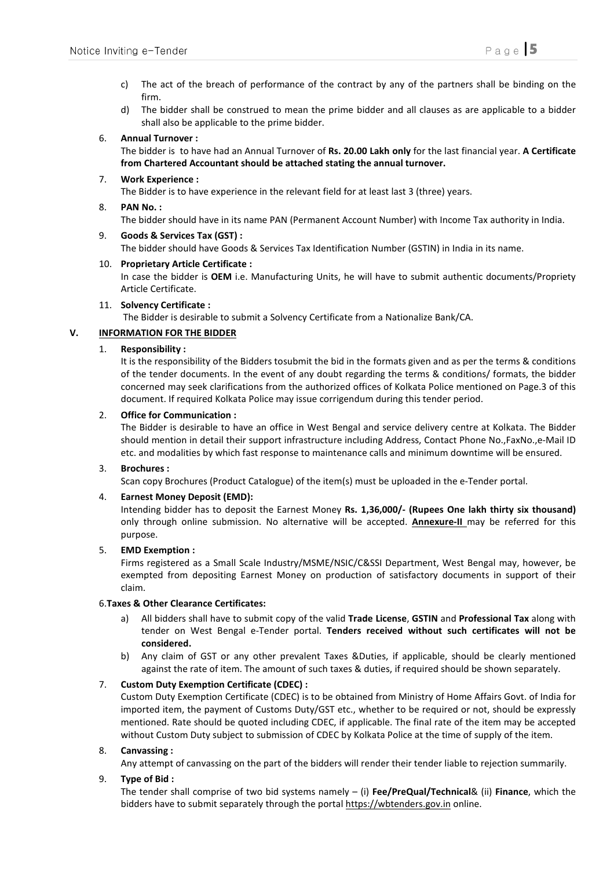- c) The act of the breach of performance of the contract by any of the partners shall be binding on the firm.
- d) The bidder shall be construed to mean the prime bidder and all clauses as are applicable to a bidder shall also be applicable to the prime bidder.

### 6. Annual Turnover :

The bidder is to have had an Annual Turnover of Rs. 20.00 Lakh only for the last financial year. A Certificate from Chartered Accountant should be attached stating the annual turnover.

# 7. Work Experience :

The Bidder is to have experience in the relevant field for at least last 3 (three) years.

# 8. PAN No. :

The bidder should have in its name PAN (Permanent Account Number) with Income Tax authority in India.

9. Goods & Services Tax (GST) : The bidder should have Goods & Services Tax Identification Number (GSTIN) in India in its name.

### 10. Proprietary Article Certificate :

In case the bidder is OEM i.e. Manufacturing Units, he will have to submit authentic documents/Propriety Article Certificate.

### 11. Solvency Certificate :

The Bidder is desirable to submit a Solvency Certificate from a Nationalize Bank/CA.

# V. INFORMATION FOR THE BIDDER

### 1. Responsibility :

It is the responsibility of the Bidders tosubmit the bid in the formats given and as per the terms & conditions of the tender documents. In the event of any doubt regarding the terms & conditions/ formats, the bidder concerned may seek clarifications from the authorized offices of Kolkata Police mentioned on Page.3 of this document. If required Kolkata Police may issue corrigendum during this tender period.

### 2. Office for Communication :

The Bidder is desirable to have an office in West Bengal and service delivery centre at Kolkata. The Bidder should mention in detail their support infrastructure including Address, Contact Phone No.,FaxNo.,e-Mail ID etc. and modalities by which fast response to maintenance calls and minimum downtime will be ensured.

# 3. Brochures :

Scan copy Brochures (Product Catalogue) of the item(s) must be uploaded in the e-Tender portal.

# 4. Earnest Money Deposit (EMD):

Intending bidder has to deposit the Earnest Money Rs. 1,36,000/- (Rupees One lakh thirty six thousand) only through online submission. No alternative will be accepted. **Annexure-II** may be referred for this purpose.

#### 5. EMD Exemption :

Firms registered as a Small Scale Industry/MSME/NSIC/C&SSI Department, West Bengal may, however, be exempted from depositing Earnest Money on production of satisfactory documents in support of their claim.

#### 6. Taxes & Other Clearance Certificates:

- a) All bidders shall have to submit copy of the valid Trade License, GSTIN and Professional Tax along with tender on West Bengal e-Tender portal. Tenders received without such certificates will not be considered.
- b) Any claim of GST or any other prevalent Taxes &Duties, if applicable, should be clearly mentioned against the rate of item. The amount of such taxes & duties, if required should be shown separately.

# 7. Custom Duty Exemption Certificate (CDEC) :

Custom Duty Exemption Certificate (CDEC) is to be obtained from Ministry of Home Affairs Govt. of India for imported item, the payment of Customs Duty/GST etc., whether to be required or not, should be expressly mentioned. Rate should be quoted including CDEC, if applicable. The final rate of the item may be accepted without Custom Duty subject to submission of CDEC by Kolkata Police at the time of supply of the item.

#### 8. Canvassing :

Any attempt of canvassing on the part of the bidders will render their tender liable to rejection summarily.

# 9. Type of Bid :

The tender shall comprise of two bid systems namely – (i) Fee/PreQual/Technical& (ii) Finance, which the bidders have to submit separately through the portal https://wbtenders.gov.in online.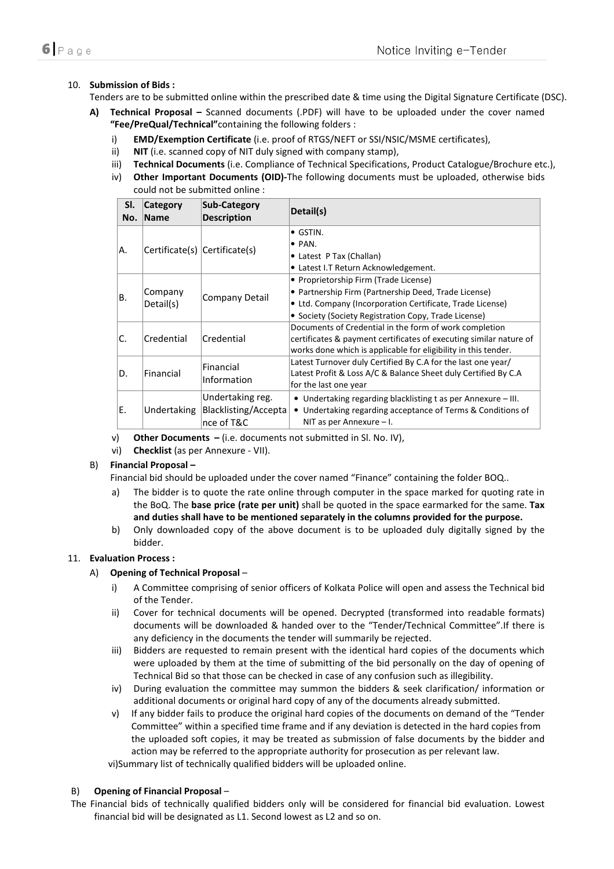# 10. Submission of Bids :

Tenders are to be submitted online within the prescribed date & time using the Digital Signature Certificate (DSC).

- A) Technical Proposal Scanned documents (.PDF) will have to be uploaded under the cover named "Fee/PreQual/Technical"containing the following folders :
	- i) EMD/Exemption Certificate (i.e. proof of RTGS/NEFT or SSI/NSIC/MSME certificates),
	- ii) NIT (i.e. scanned copy of NIT duly signed with company stamp),
	- iii) Technical Documents (i.e. Compliance of Technical Specifications, Product Catalogue/Brochure etc.),
	- iv) Other Important Documents (OID)-The following documents must be uploaded, otherwise bids could not be submitted online :

| SI.<br>No.                                                            | Category<br><b>Name</b> | <b>Sub-Category</b><br><b>Description</b>                                                                                      | Detail(s)                                                                                                                                                                                                          |
|-----------------------------------------------------------------------|-------------------------|--------------------------------------------------------------------------------------------------------------------------------|--------------------------------------------------------------------------------------------------------------------------------------------------------------------------------------------------------------------|
| IA.                                                                   |                         | Certificate(s) Certificate(s)                                                                                                  | $\bullet$ GSTIN.<br>$\bullet$ PAN.<br>• Latest P Tax (Challan)<br>• Latest I.T Return Acknowledgement.                                                                                                             |
| lB.                                                                   | Company<br>Detail(s)    | Company Detail                                                                                                                 | • Proprietorship Firm (Trade License)<br>• Partnership Firm (Partnership Deed, Trade License)<br>• Ltd. Company (Incorporation Certificate, Trade License)<br>• Society (Society Registration Copy, Trade License) |
| IC.                                                                   | Credential              | Credential                                                                                                                     | Documents of Credential in the form of work completion<br>certificates & payment certificates of executing similar nature of<br>works done which is applicable for eligibility in this tender.                     |
| Financial<br>ID.<br>Financial<br>Information<br>for the last one year |                         | Latest Turnover duly Certified By C.A for the last one year/<br>Latest Profit & Loss A/C & Balance Sheet duly Certified By C.A |                                                                                                                                                                                                                    |
| IE.                                                                   | Undertaking             | Undertaking reg.<br>Blacklisting/Accepta<br>nce of T&C                                                                         | • Undertaking regarding blacklisting t as per Annexure $-$ III.<br>• Undertaking regarding acceptance of Terms & Conditions of<br>NIT as per Annexure $-1$ .                                                       |

- v) Other Documents (i.e. documents not submitted in Sl. No. IV),
- vi) Checklist (as per Annexure VII).

# B) Financial Proposal –

Financial bid should be uploaded under the cover named "Finance" containing the folder BOQ..

- a) The bidder is to quote the rate online through computer in the space marked for quoting rate in the BoQ. The base price (rate per unit) shall be quoted in the space earmarked for the same. Tax and duties shall have to be mentioned separately in the columns provided for the purpose.
- b) Only downloaded copy of the above document is to be uploaded duly digitally signed by the bidder.

# 11. Evaluation Process :

#### A) Opening of Technical Proposal –

- i) A Committee comprising of senior officers of Kolkata Police will open and assess the Technical bid of the Tender.
- ii) Cover for technical documents will be opened. Decrypted (transformed into readable formats) documents will be downloaded & handed over to the "Tender/Technical Committee".If there is any deficiency in the documents the tender will summarily be rejected.
- iii) Bidders are requested to remain present with the identical hard copies of the documents which were uploaded by them at the time of submitting of the bid personally on the day of opening of Technical Bid so that those can be checked in case of any confusion such as illegibility.
- iv) During evaluation the committee may summon the bidders & seek clarification/ information or additional documents or original hard copy of any of the documents already submitted.
- v) If any bidder fails to produce the original hard copies of the documents on demand of the "Tender Committee" within a specified time frame and if any deviation is detected in the hard copies from the uploaded soft copies, it may be treated as submission of false documents by the bidder and action may be referred to the appropriate authority for prosecution as per relevant law.

vi)Summary list of technically qualified bidders will be uploaded online.

#### B) Opening of Financial Proposal –

The Financial bids of technically qualified bidders only will be considered for financial bid evaluation. Lowest financial bid will be designated as L1. Second lowest as L2 and so on.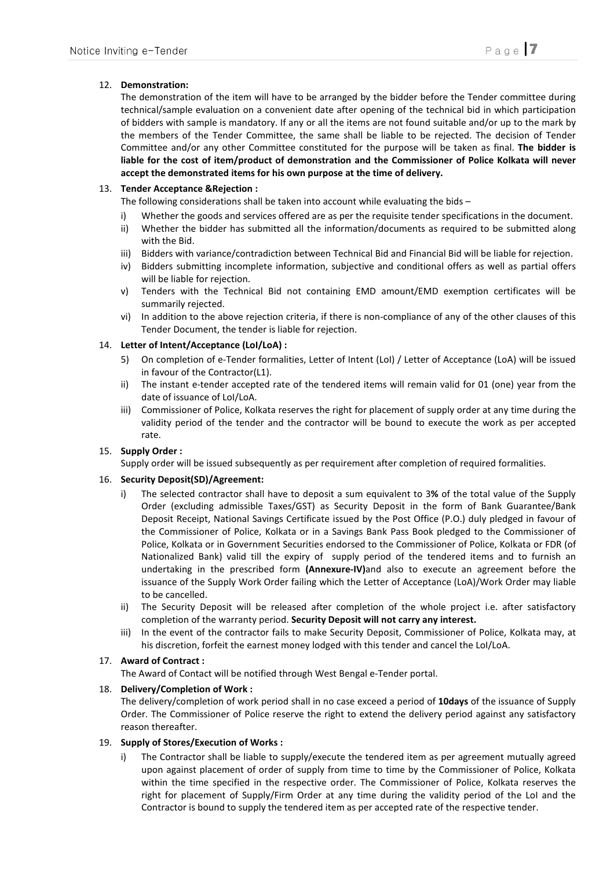# 12. Demonstration:

The demonstration of the item will have to be arranged by the bidder before the Tender committee during technical/sample evaluation on a convenient date after opening of the technical bid in which participation of bidders with sample is mandatory. If any or all the items are not found suitable and/or up to the mark by the members of the Tender Committee, the same shall be liable to be rejected. The decision of Tender Committee and/or any other Committee constituted for the purpose will be taken as final. The bidder is liable for the cost of item/product of demonstration and the Commissioner of Police Kolkata will never accept the demonstrated items for his own purpose at the time of delivery.

# 13. Tender Acceptance &Rejection :

The following considerations shall be taken into account while evaluating the bids –

- i) Whether the goods and services offered are as per the requisite tender specifications in the document.
- ii) Whether the bidder has submitted all the information/documents as required to be submitted along with the Bid.
- iii) Bidders with variance/contradiction between Technical Bid and Financial Bid will be liable for rejection.
- iv) Bidders submitting incomplete information, subjective and conditional offers as well as partial offers will be liable for rejection.
- v) Tenders with the Technical Bid not containing EMD amount/EMD exemption certificates will be summarily rejected.
- vi) In addition to the above rejection criteria, if there is non-compliance of any of the other clauses of this Tender Document, the tender is liable for rejection.

# 14. Letter of Intent/Acceptance (LoI/LoA) :

- 5) On completion of e-Tender formalities, Letter of Intent (LoI) / Letter of Acceptance (LoA) will be issued in favour of the Contractor(L1).
- ii) The instant e-tender accepted rate of the tendered items will remain valid for 01 (one) year from the date of issuance of LoI/LoA.
- iii) Commissioner of Police, Kolkata reserves the right for placement of supply order at any time during the validity period of the tender and the contractor will be bound to execute the work as per accepted rate.

# 15. Supply Order :

Supply order will be issued subsequently as per requirement after completion of required formalities.

# 16. Security Deposit(SD)/Agreement:

- i) The selected contractor shall have to deposit a sum equivalent to 3% of the total value of the Supply Order (excluding admissible Taxes/GST) as Security Deposit in the form of Bank Guarantee/Bank Deposit Receipt, National Savings Certificate issued by the Post Office (P.O.) duly pledged in favour of the Commissioner of Police, Kolkata or in a Savings Bank Pass Book pledged to the Commissioner of Police, Kolkata or in Government Securities endorsed to the Commissioner of Police, Kolkata or FDR (of Nationalized Bank) valid till the expiry of supply period of the tendered items and to furnish an undertaking in the prescribed form (Annexure-IV)and also to execute an agreement before the issuance of the Supply Work Order failing which the Letter of Acceptance (LoA)/Work Order may liable to be cancelled.
- ii) The Security Deposit will be released after completion of the whole project i.e. after satisfactory completion of the warranty period. Security Deposit will not carry any interest.
- iii) In the event of the contractor fails to make Security Deposit, Commissioner of Police, Kolkata may, at his discretion, forfeit the earnest money lodged with this tender and cancel the LoI/LoA.

# 17. Award of Contract :

The Award of Contact will be notified through West Bengal e-Tender portal.

# 18. Delivery/Completion of Work :

The delivery/completion of work period shall in no case exceed a period of 10days of the issuance of Supply Order. The Commissioner of Police reserve the right to extend the delivery period against any satisfactory reason thereafter.

#### 19. Supply of Stores/Execution of Works :

The Contractor shall be liable to supply/execute the tendered item as per agreement mutually agreed upon against placement of order of supply from time to time by the Commissioner of Police, Kolkata within the time specified in the respective order. The Commissioner of Police, Kolkata reserves the right for placement of Supply/Firm Order at any time during the validity period of the LoI and the Contractor is bound to supply the tendered item as per accepted rate of the respective tender.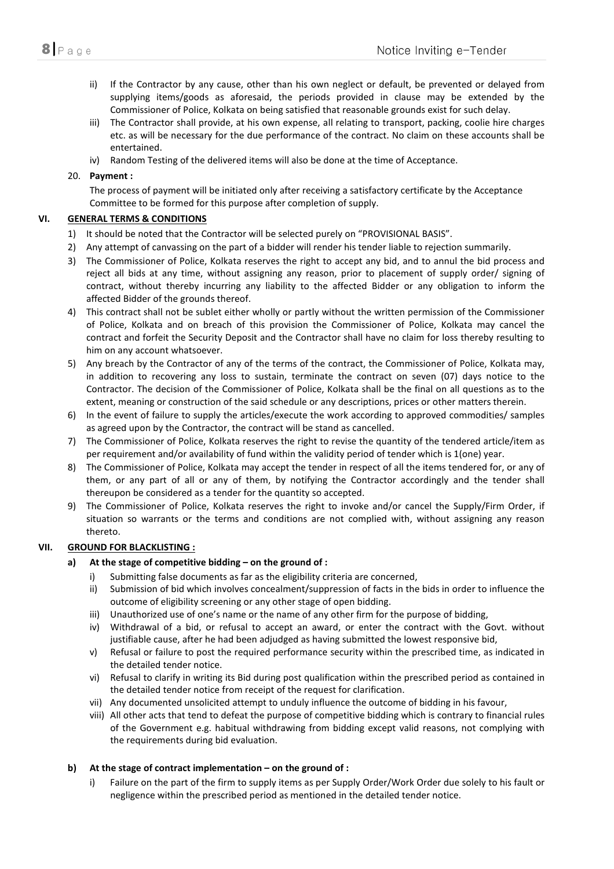- ii) If the Contractor by any cause, other than his own neglect or default, be prevented or delayed from supplying items/goods as aforesaid, the periods provided in clause may be extended by the Commissioner of Police, Kolkata on being satisfied that reasonable grounds exist for such delay.
- iii) The Contractor shall provide, at his own expense, all relating to transport, packing, coolie hire charges etc. as will be necessary for the due performance of the contract. No claim on these accounts shall be entertained.
- iv) Random Testing of the delivered items will also be done at the time of Acceptance.

### 20. Payment :

The process of payment will be initiated only after receiving a satisfactory certificate by the Acceptance Committee to be formed for this purpose after completion of supply.

### VI. GENERAL TERMS & CONDITIONS

- 1) It should be noted that the Contractor will be selected purely on "PROVISIONAL BASIS".
- 2) Any attempt of canvassing on the part of a bidder will render his tender liable to rejection summarily.
- 3) The Commissioner of Police, Kolkata reserves the right to accept any bid, and to annul the bid process and reject all bids at any time, without assigning any reason, prior to placement of supply order/ signing of contract, without thereby incurring any liability to the affected Bidder or any obligation to inform the affected Bidder of the grounds thereof.
- 4) This contract shall not be sublet either wholly or partly without the written permission of the Commissioner of Police, Kolkata and on breach of this provision the Commissioner of Police, Kolkata may cancel the contract and forfeit the Security Deposit and the Contractor shall have no claim for loss thereby resulting to him on any account whatsoever.
- 5) Any breach by the Contractor of any of the terms of the contract, the Commissioner of Police, Kolkata may, in addition to recovering any loss to sustain, terminate the contract on seven (07) days notice to the Contractor. The decision of the Commissioner of Police, Kolkata shall be the final on all questions as to the extent, meaning or construction of the said schedule or any descriptions, prices or other matters therein.
- 6) In the event of failure to supply the articles/execute the work according to approved commodities/ samples as agreed upon by the Contractor, the contract will be stand as cancelled.
- 7) The Commissioner of Police, Kolkata reserves the right to revise the quantity of the tendered article/item as per requirement and/or availability of fund within the validity period of tender which is 1(one) year.
- 8) The Commissioner of Police, Kolkata may accept the tender in respect of all the items tendered for, or any of them, or any part of all or any of them, by notifying the Contractor accordingly and the tender shall thereupon be considered as a tender for the quantity so accepted.
- 9) The Commissioner of Police, Kolkata reserves the right to invoke and/or cancel the Supply/Firm Order, if situation so warrants or the terms and conditions are not complied with, without assigning any reason thereto.

# VII. GROUND FOR BLACKLISTING :

#### a) At the stage of competitive bidding – on the ground of :

- i) Submitting false documents as far as the eligibility criteria are concerned,
- ii) Submission of bid which involves concealment/suppression of facts in the bids in order to influence the outcome of eligibility screening or any other stage of open bidding.
- iii) Unauthorized use of one's name or the name of any other firm for the purpose of bidding,
- iv) Withdrawal of a bid, or refusal to accept an award, or enter the contract with the Govt. without justifiable cause, after he had been adjudged as having submitted the lowest responsive bid,
- v) Refusal or failure to post the required performance security within the prescribed time, as indicated in the detailed tender notice.
- vi) Refusal to clarify in writing its Bid during post qualification within the prescribed period as contained in the detailed tender notice from receipt of the request for clarification.
- vii) Any documented unsolicited attempt to unduly influence the outcome of bidding in his favour,
- viii) All other acts that tend to defeat the purpose of competitive bidding which is contrary to financial rules of the Government e.g. habitual withdrawing from bidding except valid reasons, not complying with the requirements during bid evaluation.

# b) At the stage of contract implementation – on the ground of :

i) Failure on the part of the firm to supply items as per Supply Order/Work Order due solely to his fault or negligence within the prescribed period as mentioned in the detailed tender notice.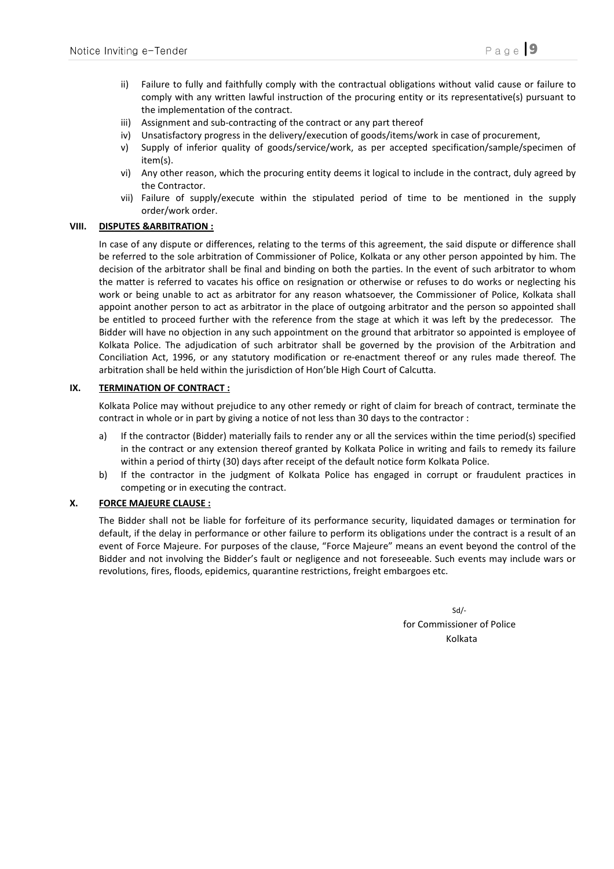- ii) Failure to fully and faithfully comply with the contractual obligations without valid cause or failure to comply with any written lawful instruction of the procuring entity or its representative(s) pursuant to the implementation of the contract.
- iii) Assignment and sub-contracting of the contract or any part thereof
- iv) Unsatisfactory progress in the delivery/execution of goods/items/work in case of procurement,
- v) Supply of inferior quality of goods/service/work, as per accepted specification/sample/specimen of item(s).
- vi) Any other reason, which the procuring entity deems it logical to include in the contract, duly agreed by the Contractor.
- vii) Failure of supply/execute within the stipulated period of time to be mentioned in the supply order/work order.

#### VIII. DISPUTES &ARBITRATION :

In case of any dispute or differences, relating to the terms of this agreement, the said dispute or difference shall be referred to the sole arbitration of Commissioner of Police, Kolkata or any other person appointed by him. The decision of the arbitrator shall be final and binding on both the parties. In the event of such arbitrator to whom the matter is referred to vacates his office on resignation or otherwise or refuses to do works or neglecting his work or being unable to act as arbitrator for any reason whatsoever, the Commissioner of Police, Kolkata shall appoint another person to act as arbitrator in the place of outgoing arbitrator and the person so appointed shall be entitled to proceed further with the reference from the stage at which it was left by the predecessor. The Bidder will have no objection in any such appointment on the ground that arbitrator so appointed is employee of Kolkata Police. The adjudication of such arbitrator shall be governed by the provision of the Arbitration and Conciliation Act, 1996, or any statutory modification or re-enactment thereof or any rules made thereof. The arbitration shall be held within the jurisdiction of Hon'ble High Court of Calcutta.

#### IX. TERMINATION OF CONTRACT :

Kolkata Police may without prejudice to any other remedy or right of claim for breach of contract, terminate the contract in whole or in part by giving a notice of not less than 30 days to the contractor :

- a) If the contractor (Bidder) materially fails to render any or all the services within the time period(s) specified in the contract or any extension thereof granted by Kolkata Police in writing and fails to remedy its failure within a period of thirty (30) days after receipt of the default notice form Kolkata Police.
- b) If the contractor in the judgment of Kolkata Police has engaged in corrupt or fraudulent practices in competing or in executing the contract.

#### X. FORCE MAJEURE CLAUSE :

The Bidder shall not be liable for forfeiture of its performance security, liquidated damages or termination for default, if the delay in performance or other failure to perform its obligations under the contract is a result of an event of Force Majeure. For purposes of the clause, "Force Majeure" means an event beyond the control of the Bidder and not involving the Bidder's fault or negligence and not foreseeable. Such events may include wars or revolutions, fires, floods, epidemics, quarantine restrictions, freight embargoes etc.

 Sd/ for Commissioner of Police Kolkata (Kolkata ing Kolkata ing Kolkata ing Kolkata ing Kolkata ing Kolkata ing Kolkata ing Kolkata ing Kolka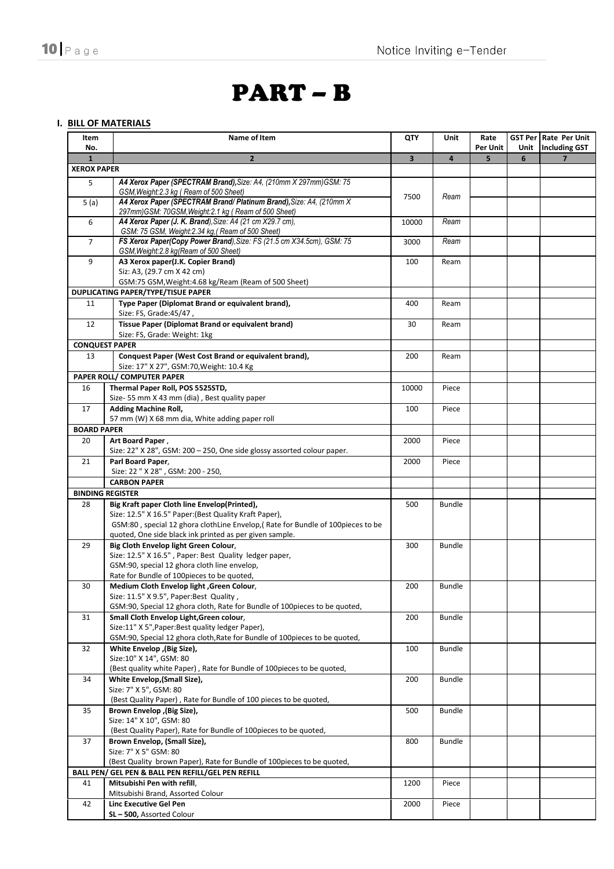# PART – B

# I. BILL OF MATERIALS

| Item<br>No.        | Name of Item                                                                                                     | <b>QTY</b>              | Unit           | Rate<br>Per Unit |   | GST Per   Rate Per Unit<br>Unit   Including GST |
|--------------------|------------------------------------------------------------------------------------------------------------------|-------------------------|----------------|------------------|---|-------------------------------------------------|
| $\mathbf{1}$       | $\overline{2}$                                                                                                   | $\overline{\mathbf{3}}$ | $\overline{4}$ | 5                | 6 | $\overline{7}$                                  |
| <b>XEROX PAPER</b> |                                                                                                                  |                         |                |                  |   |                                                 |
| 5                  | A4 Xerox Paper (SPECTRAM Brand), Size: A4, (210mm X 297mm) GSM: 75                                               |                         |                |                  |   |                                                 |
|                    | GSM, Weight:2.3 kg (Ream of 500 Sheet)<br>A4 Xerox Paper (SPECTRAM Brand/ Platinum Brand), Size: A4, (210mm X)   | 7500                    | Ream           |                  |   |                                                 |
| 5(a)               | 297mm)GSM: 70GSM, Weight: 2.1 kg (Ream of 500 Sheet)                                                             |                         |                |                  |   |                                                 |
| 6                  | A4 Xerox Paper (J. K. Brand), Size: A4 (21 cm X29.7 cm),                                                         | 10000                   | Ream           |                  |   |                                                 |
|                    | GSM: 75 GSM, Weight:2.34 kg, (Ream of 500 Sheet)                                                                 |                         |                |                  |   |                                                 |
| $\overline{7}$     | FS Xerox Paper(Copy Power Brand), Size: FS (21.5 cm X34.5cm), GSM: 75<br>GSM, Weight: 2.8 kg (Ream of 500 Sheet) | 3000                    | Ream           |                  |   |                                                 |
| 9                  | A3 Xerox paper(J.K. Copier Brand)                                                                                | 100                     | Ream           |                  |   |                                                 |
|                    | Siz: A3, (29.7 cm X 42 cm)                                                                                       |                         |                |                  |   |                                                 |
|                    | GSM:75 GSM, Weight:4.68 kg/Ream (Ream of 500 Sheet)                                                              |                         |                |                  |   |                                                 |
|                    | <b>DUPLICATING PAPER/TYPE/TISUE PAPER</b>                                                                        |                         |                |                  |   |                                                 |
| 11                 | Type Paper (Diplomat Brand or equivalent brand),                                                                 | 400                     | Ream           |                  |   |                                                 |
|                    | Size: FS, Grade: 45/47,                                                                                          |                         |                |                  |   |                                                 |
| 12                 | Tissue Paper (Diplomat Brand or equivalent brand)                                                                | 30                      | Ream           |                  |   |                                                 |
|                    | Size: FS, Grade: Weight: 1kg                                                                                     |                         |                |                  |   |                                                 |
|                    | <b>CONQUEST PAPER</b>                                                                                            |                         |                |                  |   |                                                 |
| 13                 | Conquest Paper (West Cost Brand or equivalent brand),<br>Size: 17" X 27", GSM: 70, Weight: 10.4 Kg               | 200                     | Ream           |                  |   |                                                 |
|                    | PAPER ROLL/ COMPUTER PAPER                                                                                       |                         |                |                  |   |                                                 |
|                    |                                                                                                                  |                         |                |                  |   |                                                 |
| 16                 | Thermal Paper Roll, POS 5525STD,                                                                                 | 10000                   | Piece          |                  |   |                                                 |
| 17                 | Size- 55 mm X 43 mm (dia), Best quality paper<br><b>Adding Machine Roll,</b>                                     |                         |                |                  |   |                                                 |
|                    | 57 mm (W) X 68 mm dia, White adding paper roll                                                                   | 100                     | Piece          |                  |   |                                                 |
| <b>BOARD PAPER</b> |                                                                                                                  |                         |                |                  |   |                                                 |
| 20                 | Art Board Paper,                                                                                                 | 2000                    | Piece          |                  |   |                                                 |
|                    | Size: 22" X 28", GSM: 200 - 250, One side glossy assorted colour paper.                                          |                         |                |                  |   |                                                 |
| 21                 | Parl Board Paper,                                                                                                | 2000                    | Piece          |                  |   |                                                 |
|                    | Size: 22 " X 28", GSM: 200 - 250,                                                                                |                         |                |                  |   |                                                 |
|                    | <b>CARBON PAPER</b>                                                                                              |                         |                |                  |   |                                                 |
|                    | <b>BINDING REGISTER</b>                                                                                          |                         |                |                  |   |                                                 |
| 28                 | Big Kraft paper Cloth line Envelop(Printed),                                                                     | 500                     | <b>Bundle</b>  |                  |   |                                                 |
|                    | Size: 12.5" X 16.5" Paper: (Best Quality Kraft Paper),                                                           |                         |                |                  |   |                                                 |
|                    | GSM:80, special 12 ghora clothLine Envelop, (Rate for Bundle of 100pieces to be                                  |                         |                |                  |   |                                                 |
|                    | quoted, One side black ink printed as per given sample.                                                          |                         |                |                  |   |                                                 |
| 29                 | Big Cloth Envelop light Green Colour,                                                                            | 300                     | <b>Bundle</b>  |                  |   |                                                 |
|                    | Size: 12.5" X 16.5", Paper: Best Quality ledger paper,                                                           |                         |                |                  |   |                                                 |
|                    | GSM:90, special 12 ghora cloth line envelop,                                                                     |                         |                |                  |   |                                                 |
|                    | Rate for Bundle of 100pieces to be quoted,                                                                       |                         |                |                  |   |                                                 |
| 30                 | Medium Cloth Envelop light, Green Colour,                                                                        | 200                     | <b>Bundle</b>  |                  |   |                                                 |
|                    | Size: 11.5" X 9.5", Paper:Best Quality,                                                                          |                         |                |                  |   |                                                 |
|                    | GSM:90, Special 12 ghora cloth, Rate for Bundle of 100 pieces to be quoted,                                      |                         |                |                  |   |                                                 |
| 31                 | Small Cloth Envelop Light.Green colour.                                                                          | 200                     | <b>Bundle</b>  |                  |   |                                                 |
|                    | Size:11" X 5", Paper: Best quality ledger Paper),                                                                |                         |                |                  |   |                                                 |
|                    | GSM:90, Special 12 ghora cloth, Rate for Bundle of 100pieces to be quoted,                                       |                         |                |                  |   |                                                 |
| 32                 | White Envelop, (Big Size),                                                                                       | 100                     | <b>Bundle</b>  |                  |   |                                                 |
|                    | Size:10" X 14", GSM: 80                                                                                          |                         |                |                  |   |                                                 |
|                    | (Best quality white Paper), Rate for Bundle of 100pieces to be quoted,                                           |                         |                |                  |   |                                                 |
| 34                 | White Envelop, (Small Size),<br>Size: 7" X 5", GSM: 80                                                           | 200                     | <b>Bundle</b>  |                  |   |                                                 |
|                    | (Best Quality Paper), Rate for Bundle of 100 pieces to be quoted,                                                |                         |                |                  |   |                                                 |
| 35                 | Brown Envelop , (Big Size),                                                                                      | 500                     | Bundle         |                  |   |                                                 |
|                    | Size: 14" X 10", GSM: 80                                                                                         |                         |                |                  |   |                                                 |
|                    | (Best Quality Paper), Rate for Bundle of 100 pieces to be quoted,                                                |                         |                |                  |   |                                                 |
| 37                 | Brown Envelop, (Small Size),                                                                                     | 800                     | <b>Bundle</b>  |                  |   |                                                 |
|                    | Size: 7" X 5" GSM: 80                                                                                            |                         |                |                  |   |                                                 |
|                    | (Best Quality brown Paper), Rate for Bundle of 100pieces to be quoted,                                           |                         |                |                  |   |                                                 |
|                    | BALL PEN/ GEL PEN & BALL PEN REFILL/GEL PEN REFILL                                                               |                         |                |                  |   |                                                 |
| 41                 | Mitsubishi Pen with refill,                                                                                      | 1200                    | Piece          |                  |   |                                                 |
|                    | Mitsubishi Brand, Assorted Colour                                                                                |                         |                |                  |   |                                                 |
| 42                 | Linc Executive Gel Pen                                                                                           | 2000                    | Piece          |                  |   |                                                 |
|                    | SL-500, Assorted Colour                                                                                          |                         |                |                  |   |                                                 |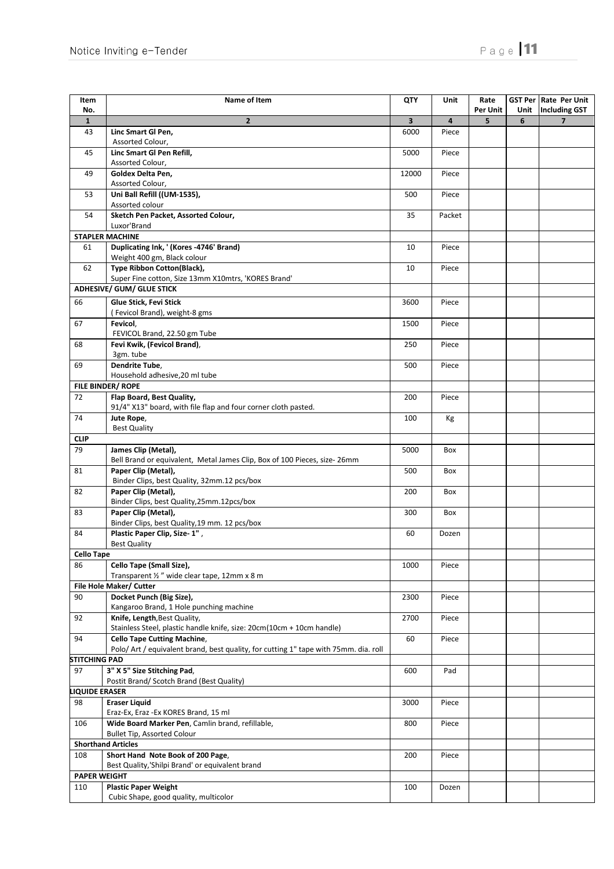| Item<br>No.           | Name of Item                                                                                                               | QTY                     | Unit   | Rate<br><b>Per Unit</b> |   | GST Per Rate Per Unit<br>Unit   Including GST |
|-----------------------|----------------------------------------------------------------------------------------------------------------------------|-------------------------|--------|-------------------------|---|-----------------------------------------------|
| $\mathbf{1}$          | $\overline{2}$                                                                                                             | $\overline{\mathbf{3}}$ | 4      | 5                       | 6 | $\overline{\mathbf{z}}$                       |
| 43                    | Linc Smart Gl Pen,                                                                                                         | 6000                    | Piece  |                         |   |                                               |
|                       | Assorted Colour,                                                                                                           |                         |        |                         |   |                                               |
| 45                    | Linc Smart Gl Pen Refill,                                                                                                  | 5000                    | Piece  |                         |   |                                               |
|                       | Assorted Colour,                                                                                                           |                         |        |                         |   |                                               |
| 49                    | Goldex Delta Pen,<br>Assorted Colour,                                                                                      | 12000                   | Piece  |                         |   |                                               |
| 53                    | Uni Ball Refill ((UM-1535),                                                                                                | 500                     | Piece  |                         |   |                                               |
|                       | Assorted colour                                                                                                            |                         |        |                         |   |                                               |
| 54                    | Sketch Pen Packet, Assorted Colour,                                                                                        | 35                      | Packet |                         |   |                                               |
|                       | Luxor'Brand                                                                                                                |                         |        |                         |   |                                               |
|                       | <b>STAPLER MACHINE</b>                                                                                                     |                         |        |                         |   |                                               |
| 61                    | Duplicating Ink, ' (Kores -4746' Brand)                                                                                    | 10                      | Piece  |                         |   |                                               |
|                       | Weight 400 gm, Black colour                                                                                                |                         |        |                         |   |                                               |
| 62                    | Type Ribbon Cotton(Black),<br>Super Fine cotton, Size 13mm X10mtrs, 'KORES Brand'                                          | 10                      | Piece  |                         |   |                                               |
|                       | <b>ADHESIVE/ GUM/ GLUE STICK</b>                                                                                           |                         |        |                         |   |                                               |
| 66                    | Glue Stick, Fevi Stick                                                                                                     |                         |        |                         |   |                                               |
|                       | (Fevicol Brand), weight-8 gms                                                                                              | 3600                    | Piece  |                         |   |                                               |
| 67                    | Fevicol,                                                                                                                   | 1500                    | Piece  |                         |   |                                               |
|                       | FEVICOL Brand, 22.50 gm Tube                                                                                               |                         |        |                         |   |                                               |
| 68                    | Fevi Kwik, (Fevicol Brand),                                                                                                | 250                     | Piece  |                         |   |                                               |
|                       | 3gm. tube                                                                                                                  |                         |        |                         |   |                                               |
| 69                    | Dendrite Tube,                                                                                                             | 500                     | Piece  |                         |   |                                               |
|                       | Household adhesive, 20 ml tube                                                                                             |                         |        |                         |   |                                               |
|                       | FILE BINDER/ROPE                                                                                                           |                         |        |                         |   |                                               |
| 72                    | Flap Board, Best Quality,                                                                                                  | 200                     | Piece  |                         |   |                                               |
|                       | 91/4" X13" board, with file flap and four corner cloth pasted.                                                             |                         |        |                         |   |                                               |
| 74                    | Jute Rope,<br><b>Best Quality</b>                                                                                          | 100                     | Kg     |                         |   |                                               |
| <b>CLIP</b>           |                                                                                                                            |                         |        |                         |   |                                               |
| 79                    | James Clip (Metal),                                                                                                        | 5000                    | Box    |                         |   |                                               |
|                       | Bell Brand or equivalent, Metal James Clip, Box of 100 Pieces, size-26mm                                                   |                         |        |                         |   |                                               |
| 81                    | Paper Clip (Metal),                                                                                                        | 500                     | Box    |                         |   |                                               |
|                       | Binder Clips, best Quality, 32mm.12 pcs/box                                                                                |                         |        |                         |   |                                               |
| 82                    | Paper Clip (Metal),                                                                                                        | 200                     | Box    |                         |   |                                               |
|                       | Binder Clips, best Quality, 25mm. 12pcs/box                                                                                |                         |        |                         |   |                                               |
| 83                    | Paper Clip (Metal),                                                                                                        | 300                     | Box    |                         |   |                                               |
| 84                    | Binder Clips, best Quality, 19 mm. 12 pcs/box<br>Plastic Paper Clip, Size-1",                                              | 60                      | Dozen  |                         |   |                                               |
|                       | <b>Best Quality</b>                                                                                                        |                         |        |                         |   |                                               |
| <b>Cello Tape</b>     |                                                                                                                            |                         |        |                         |   |                                               |
| 86                    | Cello Tape (Small Size),                                                                                                   | 1000                    | Piece  |                         |   |                                               |
|                       | Transparent 1/2" wide clear tape, 12mm x 8 m                                                                               |                         |        |                         |   |                                               |
|                       | File Hole Maker/ Cutter                                                                                                    |                         |        |                         |   |                                               |
| 90                    | Docket Punch (Big Size),                                                                                                   | 2300                    | Piece  |                         |   |                                               |
|                       | Kangaroo Brand, 1 Hole punching machine                                                                                    |                         |        |                         |   |                                               |
| 92                    | Knife, Length, Best Quality,                                                                                               | 2700                    | Piece  |                         |   |                                               |
|                       | Stainless Steel, plastic handle knife, size: 20cm(10cm + 10cm handle)                                                      |                         |        |                         |   |                                               |
| 94                    | <b>Cello Tape Cutting Machine,</b><br>Polo/ Art / equivalent brand, best quality, for cutting 1" tape with 75mm. dia. roll | 60                      | Piece  |                         |   |                                               |
| <b>STITCHING PAD</b>  |                                                                                                                            |                         |        |                         |   |                                               |
| 97                    | 3" X 5" Size Stitching Pad,                                                                                                | 600                     | Pad    |                         |   |                                               |
|                       | Postit Brand/ Scotch Brand (Best Quality)                                                                                  |                         |        |                         |   |                                               |
| <b>LIQUIDE ERASER</b> |                                                                                                                            |                         |        |                         |   |                                               |
| 98                    | <b>Eraser Liquid</b>                                                                                                       | 3000                    | Piece  |                         |   |                                               |
|                       | Eraz-Ex, Eraz -Ex KORES Brand, 15 ml                                                                                       |                         |        |                         |   |                                               |
| 106                   | Wide Board Marker Pen, Camlin brand, refillable,                                                                           | 800                     | Piece  |                         |   |                                               |
|                       | <b>Bullet Tip, Assorted Colour</b>                                                                                         |                         |        |                         |   |                                               |
|                       | <b>Shorthand Articles</b>                                                                                                  |                         |        |                         |   |                                               |
| 108                   | Short Hand Note Book of 200 Page,<br>Best Quality,'Shilpi Brand' or equivalent brand                                       | 200                     | Piece  |                         |   |                                               |
| <b>PAPER WEIGHT</b>   |                                                                                                                            |                         |        |                         |   |                                               |
| 110                   | <b>Plastic Paper Weight</b>                                                                                                | 100                     | Dozen  |                         |   |                                               |
|                       | Cubic Shape, good quality, multicolor                                                                                      |                         |        |                         |   |                                               |
|                       |                                                                                                                            |                         |        |                         |   |                                               |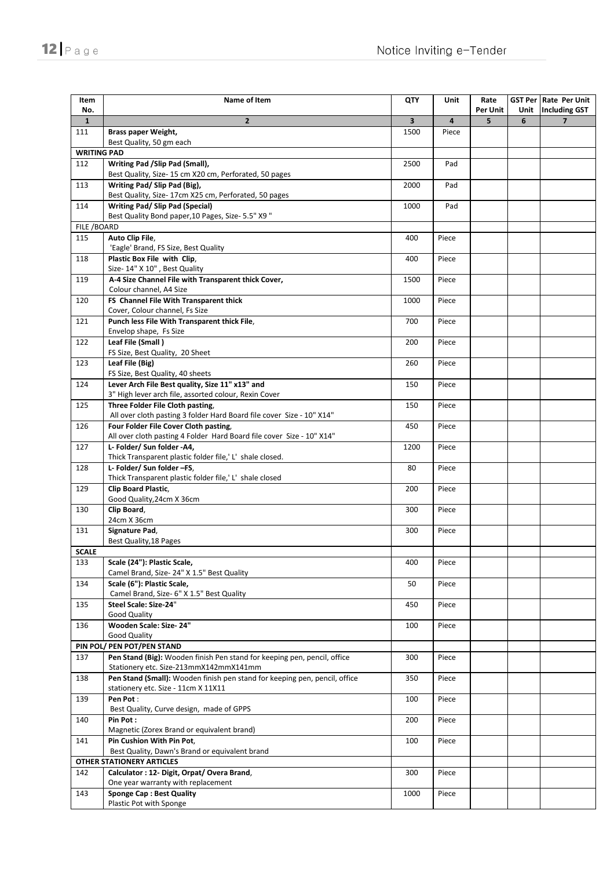| Item<br>No.        | Name of Item                                                                                             | QTY                     | Unit  | Rate<br>Per Unit | Unit | <b>GST Per   Rate Per Unit</b><br><b>Including GST</b> |
|--------------------|----------------------------------------------------------------------------------------------------------|-------------------------|-------|------------------|------|--------------------------------------------------------|
| $\mathbf{1}$       | $\overline{2}$                                                                                           | $\overline{\mathbf{3}}$ | 4     | 5                | 6    | $\overline{\mathbf{z}}$                                |
| 111                | Brass paper Weight,                                                                                      | 1500                    | Piece |                  |      |                                                        |
| <b>WRITING PAD</b> | Best Quality, 50 gm each                                                                                 |                         |       |                  |      |                                                        |
| 112                | Writing Pad /Slip Pad (Small),                                                                           | 2500                    | Pad   |                  |      |                                                        |
|                    | Best Quality, Size-15 cm X20 cm, Perforated, 50 pages                                                    |                         |       |                  |      |                                                        |
| 113                | Writing Pad/ Slip Pad (Big),<br>Best Quality, Size-17cm X25 cm, Perforated, 50 pages                     | 2000                    | Pad   |                  |      |                                                        |
| 114                | <b>Writing Pad/ Slip Pad (Special)</b>                                                                   | 1000                    | Pad   |                  |      |                                                        |
|                    | Best Quality Bond paper, 10 Pages, Size- 5.5" X9"                                                        |                         |       |                  |      |                                                        |
| FILE /BOARD        |                                                                                                          |                         |       |                  |      |                                                        |
| 115                | Auto Clip File,<br>'Eagle' Brand, FS Size, Best Quality                                                  | 400                     | Piece |                  |      |                                                        |
| 118                | Plastic Box File with Clip,                                                                              | 400                     | Piece |                  |      |                                                        |
|                    | Size- 14" X 10", Best Quality                                                                            |                         |       |                  |      |                                                        |
| 119                | A-4 Size Channel File with Transparent thick Cover,<br>Colour channel, A4 Size                           | 1500                    | Piece |                  |      |                                                        |
| 120                | FS Channel File With Transparent thick                                                                   | 1000                    | Piece |                  |      |                                                        |
|                    | Cover, Colour channel, Fs Size                                                                           |                         |       |                  |      |                                                        |
| 121                | Punch less File With Transparent thick File,                                                             | 700                     | Piece |                  |      |                                                        |
|                    | Envelop shape, Fs Size                                                                                   |                         |       |                  |      |                                                        |
| 122                | Leaf File (Small)<br>FS Size, Best Quality, 20 Sheet                                                     | 200                     | Piece |                  |      |                                                        |
| 123                | Leaf File (Big)                                                                                          | 260                     | Piece |                  |      |                                                        |
|                    | FS Size, Best Quality, 40 sheets                                                                         |                         |       |                  |      |                                                        |
| 124                | Lever Arch File Best quality, Size 11" x13" and<br>3" High lever arch file, assorted colour, Rexin Cover | 150                     | Piece |                  |      |                                                        |
| 125                | Three Folder File Cloth pasting,                                                                         | 150                     | Piece |                  |      |                                                        |
|                    | All over cloth pasting 3 folder Hard Board file cover Size - 10" X14"                                    |                         |       |                  |      |                                                        |
| 126                | Four Folder File Cover Cloth pasting,                                                                    | 450                     | Piece |                  |      |                                                        |
|                    | All over cloth pasting 4 Folder Hard Board file cover Size - 10" X14"                                    |                         |       |                  |      |                                                        |
| 127                | L- Folder/ Sun folder -A4,                                                                               | 1200                    | Piece |                  |      |                                                        |
|                    | Thick Transparent plastic folder file,' L' shale closed.                                                 |                         |       |                  |      |                                                        |
| 128                | L- Folder/ Sun folder -FS,                                                                               | 80                      | Piece |                  |      |                                                        |
|                    | Thick Transparent plastic folder file,' L' shale closed                                                  |                         |       |                  |      |                                                        |
| 129                | Clip Board Plastic,<br>Good Quality, 24cm X 36cm                                                         | 200                     | Piece |                  |      |                                                        |
| 130                | Clip Board,                                                                                              | 300                     | Piece |                  |      |                                                        |
|                    | 24cm X 36cm                                                                                              |                         |       |                  |      |                                                        |
| 131                | Signature Pad,                                                                                           | 300                     | Piece |                  |      |                                                        |
|                    | Best Quality, 18 Pages                                                                                   |                         |       |                  |      |                                                        |
| <b>SCALE</b>       |                                                                                                          |                         |       |                  |      |                                                        |
| 133                | Scale (24"): Plastic Scale,                                                                              | 400                     | Piece |                  |      |                                                        |
|                    | Camel Brand, Size- 24" X 1.5" Best Quality                                                               |                         |       |                  |      |                                                        |
| 134                | Scale (6"): Plastic Scale,                                                                               | 50                      | Piece |                  |      |                                                        |
|                    | Camel Brand, Size- 6" X 1.5" Best Quality                                                                |                         |       |                  |      |                                                        |
| 135                | Steel Scale: Size-24"                                                                                    | 450                     | Piece |                  |      |                                                        |
|                    | <b>Good Quality</b>                                                                                      |                         |       |                  |      |                                                        |
| 136                | Wooden Scale: Size-24"<br>Good Quality                                                                   | 100                     | Piece |                  |      |                                                        |
|                    | PIN POL/ PEN POT/PEN STAND                                                                               |                         |       |                  |      |                                                        |
| 137                | Pen Stand (Big): Wooden finish Pen stand for keeping pen, pencil, office                                 | 300                     | Piece |                  |      |                                                        |
|                    | Stationery etc. Size-213mmX142mmX141mm                                                                   |                         |       |                  |      |                                                        |
| 138                | Pen Stand (Small): Wooden finish pen stand for keeping pen, pencil, office                               | 350                     | Piece |                  |      |                                                        |
|                    | stationery etc. Size - 11cm X 11X11                                                                      |                         |       |                  |      |                                                        |
| 139                | Pen Pot:                                                                                                 | 100                     | Piece |                  |      |                                                        |
|                    | Best Quality, Curve design, made of GPPS                                                                 |                         |       |                  |      |                                                        |
| 140                | Pin Pot:                                                                                                 | 200                     | Piece |                  |      |                                                        |
|                    | Magnetic (Zorex Brand or equivalent brand)                                                               |                         |       |                  |      |                                                        |
| 141                | Pin Cushion With Pin Pot,                                                                                | 100                     | Piece |                  |      |                                                        |
|                    | Best Quality, Dawn's Brand or equivalent brand                                                           |                         |       |                  |      |                                                        |
|                    | <b>OTHER STATIONERY ARTICLES</b>                                                                         |                         |       |                  |      |                                                        |
| 142                | Calculator : 12- Digit, Orpat/ Overa Brand,                                                              | 300                     | Piece |                  |      |                                                        |
|                    | One year warranty with replacement                                                                       |                         |       |                  |      |                                                        |
| 143                | <b>Sponge Cap: Best Quality</b>                                                                          | 1000                    | Piece |                  |      |                                                        |
|                    | Plastic Pot with Sponge                                                                                  |                         |       |                  |      |                                                        |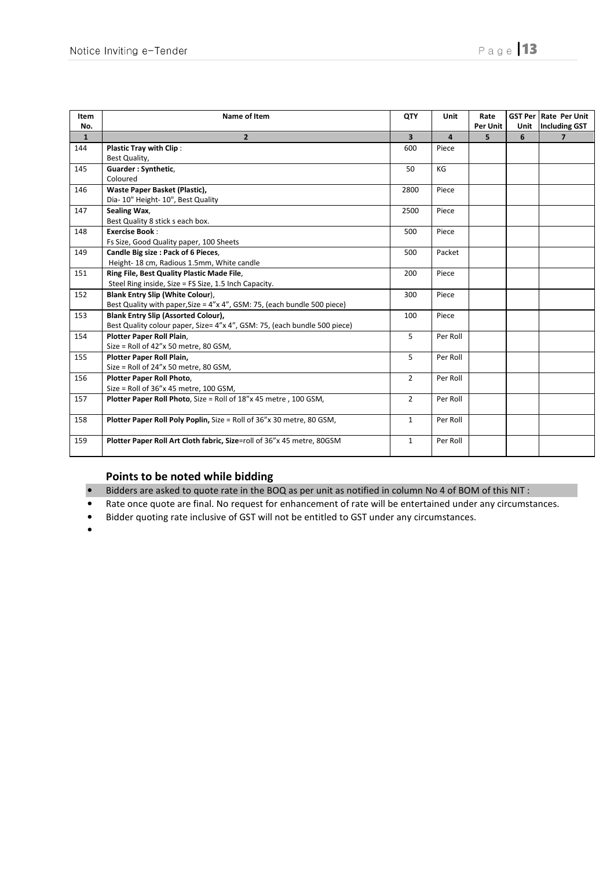| Item         | Name of Item                                                                     | QTY            | Unit     | Rate            |      | <b>GST Per Rate Per Unit</b> |
|--------------|----------------------------------------------------------------------------------|----------------|----------|-----------------|------|------------------------------|
| No.          |                                                                                  |                |          | <b>Per Unit</b> | Unit | <b>Including GST</b>         |
| $\mathbf{1}$ | $\overline{2}$                                                                   | $\overline{3}$ | 4        | 5               | 6    | $\overline{7}$               |
| 144          | <b>Plastic Tray with Clip:</b>                                                   | 600            | Piece    |                 |      |                              |
|              | Best Quality,                                                                    |                |          |                 |      |                              |
| 145          | Guarder: Synthetic,                                                              | 50             | KG       |                 |      |                              |
|              | Coloured                                                                         |                |          |                 |      |                              |
| 146          | Waste Paper Basket (Plastic),                                                    | 2800           | Piece    |                 |      |                              |
|              | Dia- 10" Height- 10", Best Quality                                               |                |          |                 |      |                              |
| 147          | Sealing Wax,                                                                     | 2500           | Piece    |                 |      |                              |
|              | Best Quality 8 stick s each box.                                                 |                |          |                 |      |                              |
| 148          | <b>Exercise Book:</b>                                                            | 500            | Piece    |                 |      |                              |
|              | Fs Size, Good Quality paper, 100 Sheets                                          |                |          |                 |      |                              |
| 149          | Candle Big size : Pack of 6 Pieces,                                              | 500            | Packet   |                 |      |                              |
|              | Height-18 cm, Radious 1.5mm, White candle                                        |                |          |                 |      |                              |
| 151          | Ring File, Best Quality Plastic Made File,                                       | 200            | Piece    |                 |      |                              |
|              | Steel Ring inside, Size = FS Size, 1.5 Inch Capacity.                            |                |          |                 |      |                              |
| 152          | <b>Blank Entry Slip (White Colour),</b>                                          | 300            | Piece    |                 |      |                              |
|              | Best Quality with paper, Size = $4''$ x $4''$ , GSM: 75, (each bundle 500 piece) |                |          |                 |      |                              |
| 153          | <b>Blank Entry Slip (Assorted Colour),</b>                                       | 100            | Piece    |                 |      |                              |
|              | Best Quality colour paper, Size= 4"x 4", GSM: 75, (each bundle 500 piece)        |                |          |                 |      |                              |
| 154          | Plotter Paper Roll Plain,                                                        | 5              | Per Roll |                 |      |                              |
|              | Size = Roll of 42"x 50 metre, 80 GSM,                                            |                |          |                 |      |                              |
| 155          | Plotter Paper Roll Plain,                                                        | 5              | Per Roll |                 |      |                              |
|              | Size = Roll of 24"x 50 metre, 80 GSM,                                            |                |          |                 |      |                              |
| 156          | Plotter Paper Roll Photo,                                                        | $\overline{2}$ | Per Roll |                 |      |                              |
|              | Size = Roll of 36"x 45 metre, 100 GSM,                                           |                |          |                 |      |                              |
| 157          | Plotter Paper Roll Photo, Size = Roll of 18"x 45 metre, 100 GSM,                 | $\overline{2}$ | Per Roll |                 |      |                              |
|              |                                                                                  |                |          |                 |      |                              |
| 158          | Plotter Paper Roll Poly Poplin, Size = Roll of 36"x 30 metre, 80 GSM,            | $\mathbf{1}$   | Per Roll |                 |      |                              |
|              |                                                                                  |                |          |                 |      |                              |
| 159          | Plotter Paper Roll Art Cloth fabric, Size=roll of 36"x 45 metre, 80GSM           | $\mathbf{1}$   | Per Roll |                 |      |                              |
|              |                                                                                  |                |          |                 |      |                              |

# Points to be noted while bidding

- Bidders are asked to quote rate in the BOQ as per unit as notified in column No 4 of BOM of this NIT :
- Rate once quote are final. No request for enhancement of rate will be entertained under any circumstances.
- Bidder quoting rate inclusive of GST will not be entitled to GST under any circumstances.
- •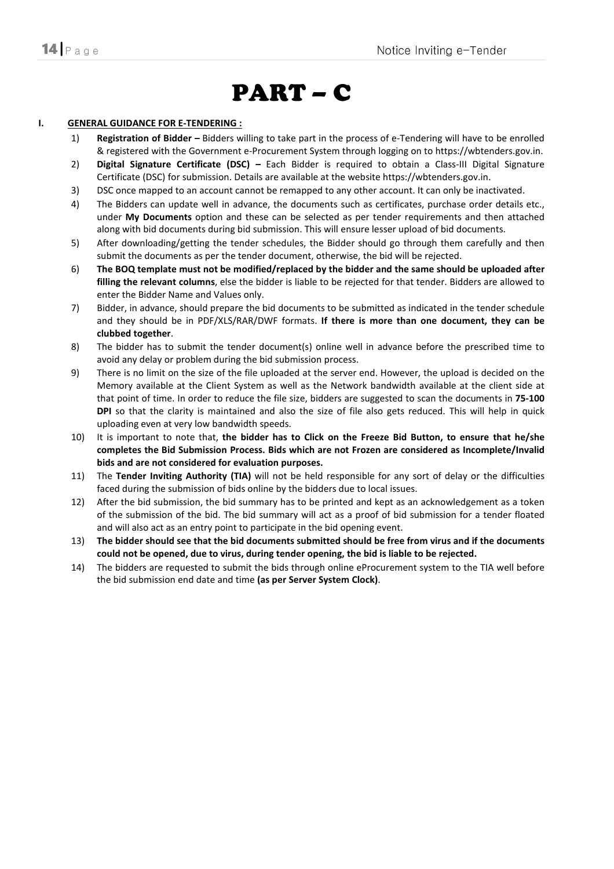# PART – C

#### I. GENERAL GUIDANCE FOR E-TENDERING :

- 1) Registration of Bidder Bidders willing to take part in the process of e-Tendering will have to be enrolled & registered with the Government e-Procurement System through logging on to https://wbtenders.gov.in.
- 2) Digital Signature Certificate (DSC) Each Bidder is required to obtain a Class-III Digital Signature Certificate (DSC) for submission. Details are available at the website https://wbtenders.gov.in.
- 3) DSC once mapped to an account cannot be remapped to any other account. It can only be inactivated.
- 4) The Bidders can update well in advance, the documents such as certificates, purchase order details etc., under My Documents option and these can be selected as per tender requirements and then attached along with bid documents during bid submission. This will ensure lesser upload of bid documents.
- 5) After downloading/getting the tender schedules, the Bidder should go through them carefully and then submit the documents as per the tender document, otherwise, the bid will be rejected.
- 6) The BOQ template must not be modified/replaced by the bidder and the same should be uploaded after filling the relevant columns, else the bidder is liable to be rejected for that tender. Bidders are allowed to enter the Bidder Name and Values only.
- 7) Bidder, in advance, should prepare the bid documents to be submitted as indicated in the tender schedule and they should be in PDF/XLS/RAR/DWF formats. If there is more than one document, they can be clubbed together.
- 8) The bidder has to submit the tender document(s) online well in advance before the prescribed time to avoid any delay or problem during the bid submission process.
- 9) There is no limit on the size of the file uploaded at the server end. However, the upload is decided on the Memory available at the Client System as well as the Network bandwidth available at the client side at that point of time. In order to reduce the file size, bidders are suggested to scan the documents in 75-100 DPI so that the clarity is maintained and also the size of file also gets reduced. This will help in quick uploading even at very low bandwidth speeds.
- 10) It is important to note that, the bidder has to Click on the Freeze Bid Button, to ensure that he/she completes the Bid Submission Process. Bids which are not Frozen are considered as Incomplete/Invalid bids and are not considered for evaluation purposes.
- 11) The Tender Inviting Authority (TIA) will not be held responsible for any sort of delay or the difficulties faced during the submission of bids online by the bidders due to local issues.
- 12) After the bid submission, the bid summary has to be printed and kept as an acknowledgement as a token of the submission of the bid. The bid summary will act as a proof of bid submission for a tender floated and will also act as an entry point to participate in the bid opening event.
- 13) The bidder should see that the bid documents submitted should be free from virus and if the documents could not be opened, due to virus, during tender opening, the bid is liable to be rejected.
- 14) The bidders are requested to submit the bids through online eProcurement system to the TIA well before the bid submission end date and time (as per Server System Clock).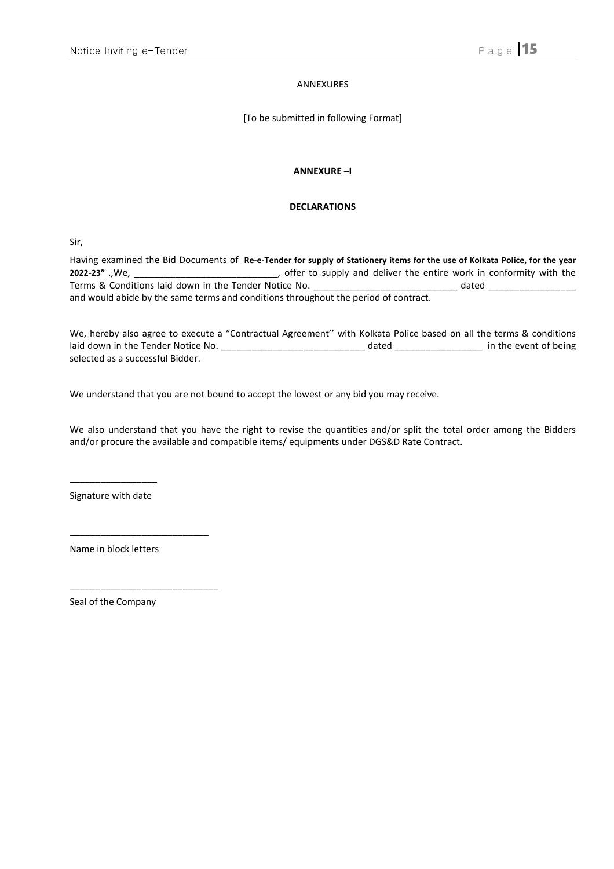#### ANNEXURES

[To be submitted in following Format]

#### ANNEXURE –I

#### DECLARATIONS

Sir,

Having examined the Bid Documents of Re-e-Tender for supply of Stationery items for the use of Kolkata Police, for the year 2022-23" .,We, \_\_\_\_\_\_\_\_\_\_\_\_\_\_\_\_\_\_\_\_\_\_\_\_\_\_\_\_, offer to supply and deliver the entire work in conformity with the Terms & Conditions laid down in the Tender Notice No. \_\_\_\_\_\_\_\_\_\_\_\_\_\_\_\_\_\_\_\_\_\_\_\_\_\_ dated \_\_\_\_\_\_\_\_\_\_\_\_\_\_\_\_\_\_\_\_\_\_\_ and would abide by the same terms and conditions throughout the period of contract.

We, hereby also agree to execute a "Contractual Agreement'' with Kolkata Police based on all the terms & conditions laid down in the Tender Notice No. \_\_\_\_\_\_\_\_\_\_\_\_\_\_\_\_\_\_\_\_\_\_\_\_\_\_\_\_ dated \_\_\_\_\_\_\_\_\_\_\_\_\_\_\_\_\_ in the event of being selected as a successful Bidder.

We understand that you are not bound to accept the lowest or any bid you may receive.

We also understand that you have the right to revise the quantities and/or split the total order among the Bidders and/or procure the available and compatible items/ equipments under DGS&D Rate Contract.

 $\overline{\phantom{a}}$  , we can also the contract of  $\overline{\phantom{a}}$ Signature with date

Name in block letters

\_\_\_\_\_\_\_\_\_\_\_\_\_\_\_\_\_\_\_\_\_\_\_\_\_\_\_

\_\_\_\_\_\_\_\_\_\_\_\_\_\_\_\_\_\_\_\_\_\_\_\_\_\_\_\_\_

Seal of the Company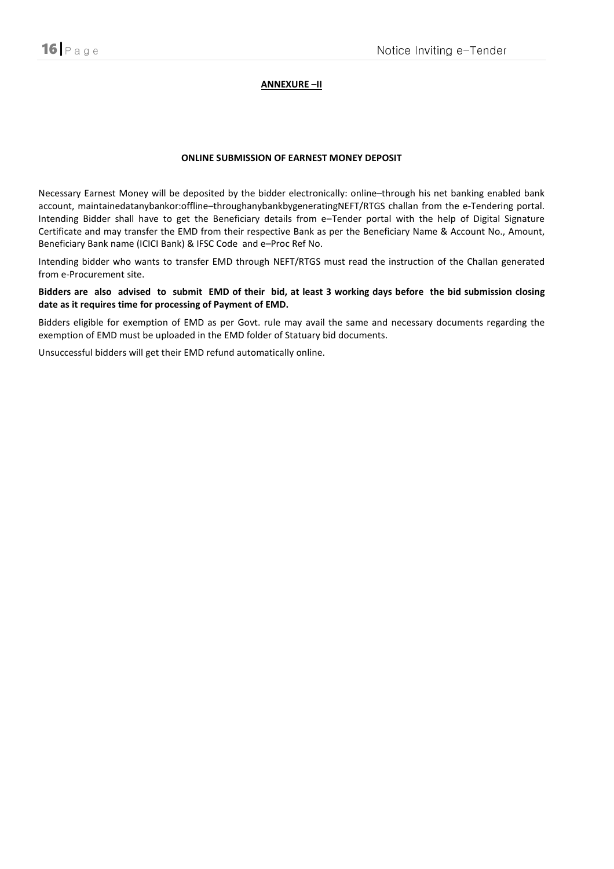#### ANNEXURE –II

#### ONLINE SUBMISSION OF EARNEST MONEY DEPOSIT

Necessary Earnest Money will be deposited by the bidder electronically: online–through his net banking enabled bank account, maintainedatanybankor:offline–throughanybankbygeneratingNEFT/RTGS challan from the e-Tendering portal. Intending Bidder shall have to get the Beneficiary details from e–Tender portal with the help of Digital Signature Certificate and may transfer the EMD from their respective Bank as per the Beneficiary Name & Account No., Amount, Beneficiary Bank name (ICICI Bank) & IFSC Code and e–Proc Ref No.

Intending bidder who wants to transfer EMD through NEFT/RTGS must read the instruction of the Challan generated from e-Procurement site.

Bidders are also advised to submit EMD of their bid, at least 3 working days before the bid submission closing date as it requires time for processing of Payment of EMD.

Bidders eligible for exemption of EMD as per Govt. rule may avail the same and necessary documents regarding the exemption of EMD must be uploaded in the EMD folder of Statuary bid documents.

Unsuccessful bidders will get their EMD refund automatically online.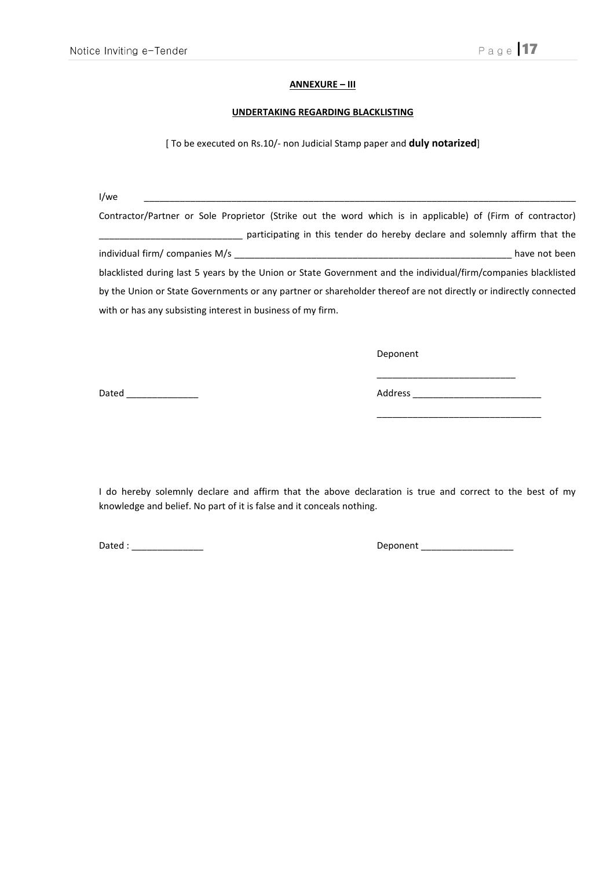### ANNEXURE – III

#### UNDERTAKING REGARDING BLACKLISTING

[ To be executed on Rs.10/- non Judicial Stamp paper and **duly notarized**]

I/we \_\_\_\_\_\_\_\_\_\_\_\_\_\_\_\_\_\_\_\_\_\_\_\_\_\_\_\_\_\_\_\_\_\_\_\_\_\_\_\_\_\_\_\_\_\_\_\_\_\_\_\_\_\_\_\_\_\_\_\_\_\_\_\_\_\_\_\_\_\_\_\_\_\_\_\_\_\_\_\_\_\_\_\_

Contractor/Partner or Sole Proprietor (Strike out the word which is in applicable) of (Firm of contractor) \_\_\_\_\_\_\_\_\_\_\_\_\_\_\_\_\_\_\_\_\_\_\_\_\_\_\_\_ participating in this tender do hereby declare and solemnly affirm that the individual firm/ companies M/s \_\_\_\_\_\_\_\_\_\_\_\_\_\_\_\_\_\_\_\_\_\_\_\_\_\_\_\_\_\_\_\_\_\_\_\_\_\_\_\_\_\_\_\_\_\_\_\_\_\_\_\_\_\_ have not been blacklisted during last 5 years by the Union or State Government and the individual/firm/companies blacklisted by the Union or State Governments or any partner or shareholder thereof are not directly or indirectly connected with or has any subsisting interest in business of my firm.

Deponent

Dated \_\_\_\_\_\_\_\_\_\_\_\_\_\_ Address \_\_\_\_\_\_\_\_\_\_\_\_\_\_\_\_\_\_\_\_\_\_\_\_\_

I do hereby solemnly declare and affirm that the above declaration is true and correct to the best of my knowledge and belief. No part of it is false and it conceals nothing.

Dated : \_\_\_\_\_\_\_\_\_\_\_\_\_\_ Deponent \_\_\_\_\_\_\_\_\_\_\_\_\_\_\_\_\_\_

\_\_\_\_\_\_\_\_\_\_\_\_\_\_\_\_\_\_\_\_\_\_\_\_\_\_\_

\_\_\_\_\_\_\_\_\_\_\_\_\_\_\_\_\_\_\_\_\_\_\_\_\_\_\_\_\_\_\_\_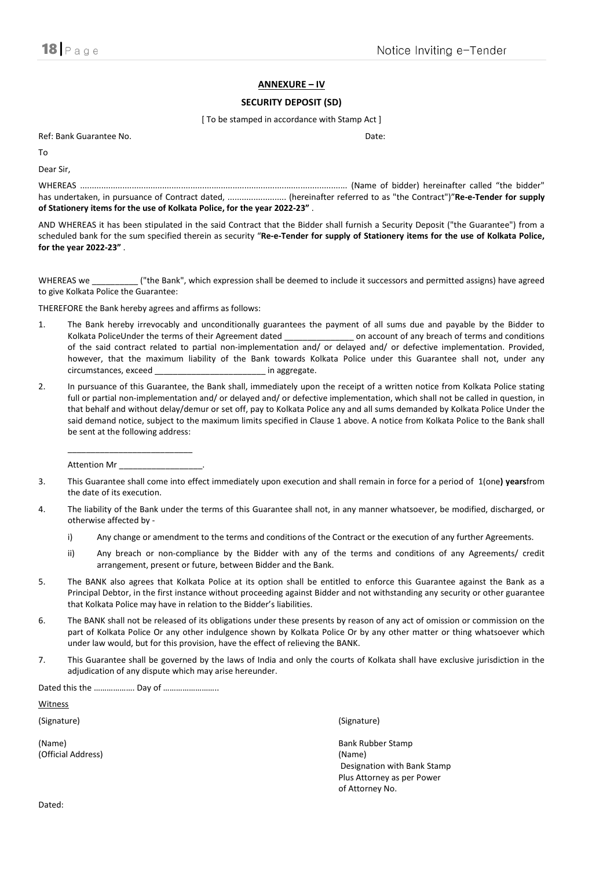### ANNEXURE – IV

#### SECURITY DEPOSIT (SD)

[ To be stamped in accordance with Stamp Act ]

Ref: Bank Guarantee No. Date:

To

Dear Sir,

WHEREAS .................................................................................................................. (Name of bidder) hereinafter called "the bidder" has undertaken, in pursuance of Contract dated, ................................. (hereinafter referred to as "the Contract")"Re-e-Tender for supply of Stationery items for the use of Kolkata Police, for the year 2022-23" .

AND WHEREAS it has been stipulated in the said Contract that the Bidder shall furnish a Security Deposit ("the Guarantee") from a scheduled bank for the sum specified therein as security "Re-e-Tender for supply of Stationery items for the use of Kolkata Police, for the year 2022-23" .

WHEREAS we \_\_\_\_\_\_\_\_\_\_ ("the Bank", which expression shall be deemed to include it successors and permitted assigns) have agreed to give Kolkata Police the Guarantee:

THEREFORE the Bank hereby agrees and affirms as follows:

- 1. The Bank hereby irrevocably and unconditionally guarantees the payment of all sums due and payable by the Bidder to Kolkata PoliceUnder the terms of their Agreement dated \_\_\_\_\_\_\_\_\_\_\_\_\_\_\_\_\_ on account of any breach of terms and conditions of the said contract related to partial non-implementation and/ or delayed and/ or defective implementation. Provided, however, that the maximum liability of the Bank towards Kolkata Police under this Guarantee shall not, under any circumstances, exceed \_\_\_\_\_\_\_\_\_\_\_\_\_\_\_\_\_\_\_\_\_\_\_\_ in aggregate.
- 2. In pursuance of this Guarantee, the Bank shall, immediately upon the receipt of a written notice from Kolkata Police stating full or partial non-implementation and/ or delayed and/ or defective implementation, which shall not be called in question, in that behalf and without delay/demur or set off, pay to Kolkata Police any and all sums demanded by Kolkata Police Under the said demand notice, subject to the maximum limits specified in Clause 1 above. A notice from Kolkata Police to the Bank shall be sent at the following address:

Attention Mr

 $\frac{1}{2}$  ,  $\frac{1}{2}$  ,  $\frac{1}{2}$  ,  $\frac{1}{2}$  ,  $\frac{1}{2}$  ,  $\frac{1}{2}$  ,  $\frac{1}{2}$  ,  $\frac{1}{2}$  ,  $\frac{1}{2}$  ,  $\frac{1}{2}$  ,  $\frac{1}{2}$  ,  $\frac{1}{2}$  ,  $\frac{1}{2}$  ,  $\frac{1}{2}$  ,  $\frac{1}{2}$  ,  $\frac{1}{2}$  ,  $\frac{1}{2}$  ,  $\frac{1}{2}$  ,  $\frac{1$ 

- 3. This Guarantee shall come into effect immediately upon execution and shall remain in force for a period of 1(one) yearsfrom the date of its execution.
- 4. The liability of the Bank under the terms of this Guarantee shall not, in any manner whatsoever, be modified, discharged, or otherwise affected by
	- i) Any change or amendment to the terms and conditions of the Contract or the execution of any further Agreements.
	- ii) Any breach or non-compliance by the Bidder with any of the terms and conditions of any Agreements/ credit arrangement, present or future, between Bidder and the Bank.
- 5. The BANK also agrees that Kolkata Police at its option shall be entitled to enforce this Guarantee against the Bank as a Principal Debtor, in the first instance without proceeding against Bidder and not withstanding any security or other guarantee that Kolkata Police may have in relation to the Bidder's liabilities.
- 6. The BANK shall not be released of its obligations under these presents by reason of any act of omission or commission on the part of Kolkata Police Or any other indulgence shown by Kolkata Police Or by any other matter or thing whatsoever which under law would, but for this provision, have the effect of relieving the BANK.
- 7. This Guarantee shall be governed by the laws of India and only the courts of Kolkata shall have exclusive jurisdiction in the adjudication of any dispute which may arise hereunder.

Dated this the ………………. Day of ……………………..

**Witness** 

(Official Address) (Name)

(Signature) (Signature)

(Name) Bank Rubber Stamp Designation with Bank Stamp Plus Attorney as per Power of Attorney No.

Dated: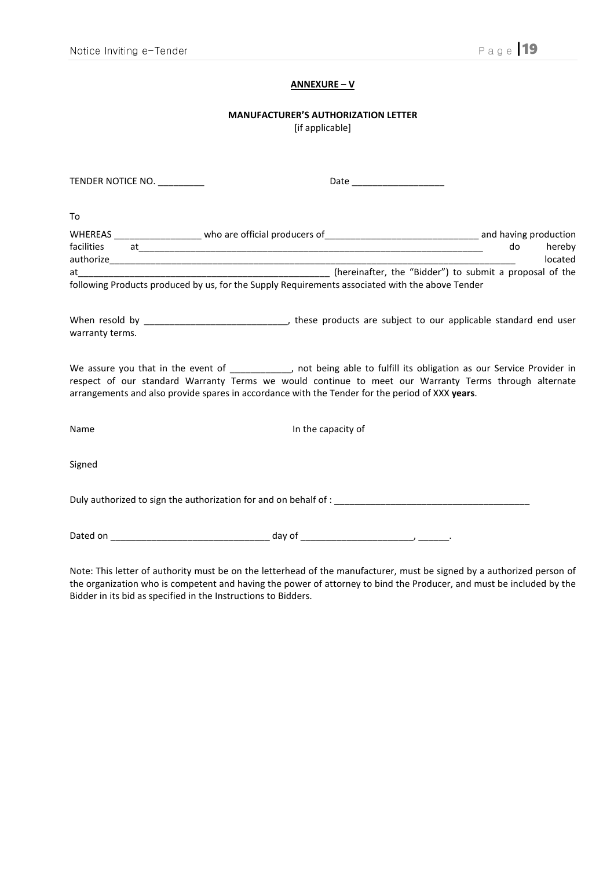# ANNEXURE – V

# MANUFACTURER'S AUTHORIZATION LETTER

[if applicable]

| TENDER NOTICE NO. __________ | Date _____________________                                                                                                                                                                                                                                                                                                      |                         |
|------------------------------|---------------------------------------------------------------------------------------------------------------------------------------------------------------------------------------------------------------------------------------------------------------------------------------------------------------------------------|-------------------------|
| To                           |                                                                                                                                                                                                                                                                                                                                 |                         |
|                              |                                                                                                                                                                                                                                                                                                                                 |                         |
|                              |                                                                                                                                                                                                                                                                                                                                 | do<br>hereby<br>located |
|                              |                                                                                                                                                                                                                                                                                                                                 |                         |
|                              | following Products produced by us, for the Supply Requirements associated with the above Tender                                                                                                                                                                                                                                 |                         |
| warranty terms.              |                                                                                                                                                                                                                                                                                                                                 |                         |
|                              | We assure you that in the event of ___________, not being able to fulfill its obligation as our Service Provider in<br>respect of our standard Warranty Terms we would continue to meet our Warranty Terms through alternate<br>arrangements and also provide spares in accordance with the Tender for the period of XXX years. |                         |
| Name                         | In the capacity of                                                                                                                                                                                                                                                                                                              |                         |
| Signed                       |                                                                                                                                                                                                                                                                                                                                 |                         |
|                              |                                                                                                                                                                                                                                                                                                                                 |                         |
|                              |                                                                                                                                                                                                                                                                                                                                 |                         |
|                              |                                                                                                                                                                                                                                                                                                                                 |                         |

Note: This letter of authority must be on the letterhead of the manufacturer, must be signed by a authorized person of the organization who is competent and having the power of attorney to bind the Producer, and must be included by the Bidder in its bid as specified in the Instructions to Bidders.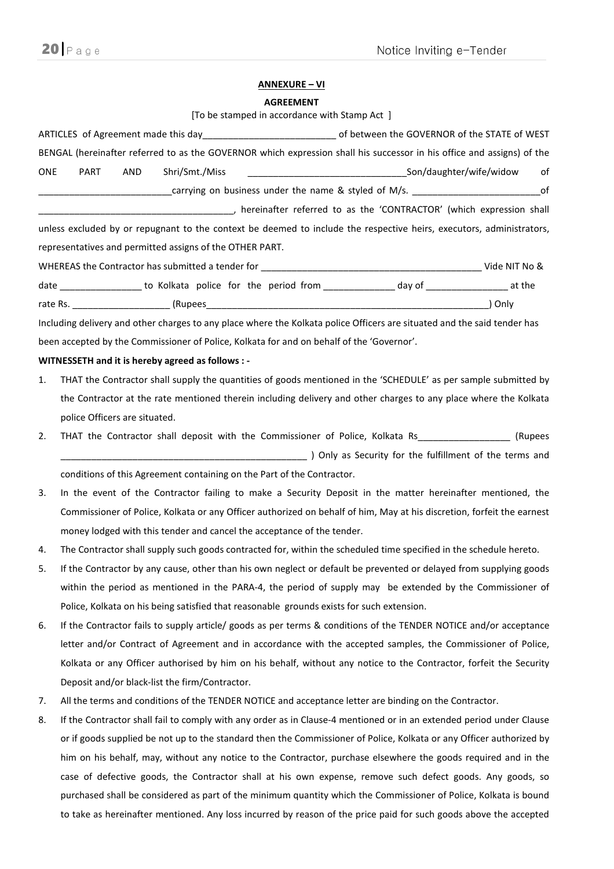#### ANNEXURE – VI

#### AGREEMENT

[To be stamped in accordance with Stamp Act ]

|            | The personal interest and accordance with starting Act.                                                                  |
|------------|--------------------------------------------------------------------------------------------------------------------------|
|            | ARTICLES of Agreement made this day__________________________________of between the GOVERNOR of the STATE of WEST        |
|            | BENGAL (hereinafter referred to as the GOVERNOR which expression shall his successor in his office and assigns) of the   |
| <b>ONE</b> | of<br>PART<br>AND<br>Shri/Smt./Miss                                                                                      |
|            |                                                                                                                          |
|            |                                                                                                                          |
|            | unless excluded by or repugnant to the context be deemed to include the respective heirs, executors, administrators,     |
|            | representatives and permitted assigns of the OTHER PART.                                                                 |
|            |                                                                                                                          |
|            | date __________________ to Kolkata police for the period from ________________day of ___________________at the           |
|            |                                                                                                                          |
|            | Including delivery and other charges to any place where the Kolkata police Officers are situated and the said tender has |
|            | been accepted by the Commissioner of Police, Kolkata for and on behalf of the 'Governor'.                                |
|            | WITNESSETH and it is hereby agreed as follows : -                                                                        |
| 1.         | THAT the Contractor shall supply the quantities of goods mentioned in the 'SCHEDULE' as per sample submitted by          |
|            | the Contractor at the rate mentioned therein including delivery and other charges to any place where the Kolkata         |
|            | police Officers are situated.                                                                                            |
| 2.         | THAT the Contractor shall deposit with the Commissioner of Police, Kolkata Rs_____________________ (Rupees               |
|            |                                                                                                                          |
|            | conditions of this Agreement containing on the Part of the Contractor.                                                   |
| 3.         | In the event of the Contractor failing to make a Security Deposit in the matter hereinafter mentioned, the               |
|            | Commissioner of Police, Kolkata or any Officer authorized on behalf of him, May at his discretion, forfeit the earnest   |
|            | money lodged with this tender and cancel the acceptance of the tender.                                                   |
| 4.         | The Contractor shall supply such goods contracted for, within the scheduled time specified in the schedule hereto.       |
| 5.         | If the Contractor by any cause, other than his own neglect or default be prevented or delayed from supplying goods       |
|            | within the period as mentioned in the PARA-4, the period of supply may be extended by the Commissioner of                |
|            | Police, Kolkata on his being satisfied that reasonable grounds exists for such extension.                                |
| 6.         | If the Contractor fails to supply article/ goods as per terms & conditions of the TENDER NOTICE and/or acceptance        |
|            | letter and/or Contract of Agreement and in accordance with the accepted samples, the Commissioner of Police,             |
|            | Kolkata or any Officer authorised by him on his behalf, without any notice to the Contractor, forfeit the Security       |

Deposit and/or black-list the firm/Contractor.

- 7. All the terms and conditions of the TENDER NOTICE and acceptance letter are binding on the Contractor.
- 8. If the Contractor shall fail to comply with any order as in Clause-4 mentioned or in an extended period under Clause or if goods supplied be not up to the standard then the Commissioner of Police, Kolkata or any Officer authorized by him on his behalf, may, without any notice to the Contractor, purchase elsewhere the goods required and in the case of defective goods, the Contractor shall at his own expense, remove such defect goods. Any goods, so purchased shall be considered as part of the minimum quantity which the Commissioner of Police, Kolkata is bound to take as hereinafter mentioned. Any loss incurred by reason of the price paid for such goods above the accepted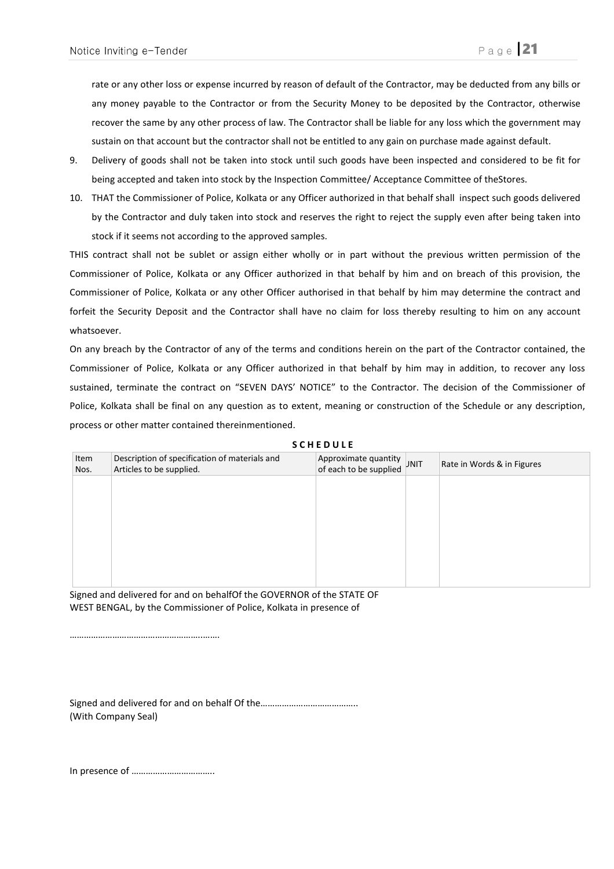rate or any other loss or expense incurred by reason of default of the Contractor, may be deducted from any bills or any money payable to the Contractor or from the Security Money to be deposited by the Contractor, otherwise recover the same by any other process of law. The Contractor shall be liable for any loss which the government may sustain on that account but the contractor shall not be entitled to any gain on purchase made against default.

- 9. Delivery of goods shall not be taken into stock until such goods have been inspected and considered to be fit for being accepted and taken into stock by the Inspection Committee/ Acceptance Committee of theStores.
- 10. THAT the Commissioner of Police, Kolkata or any Officer authorized in that behalf shall inspect such goods delivered by the Contractor and duly taken into stock and reserves the right to reject the supply even after being taken into stock if it seems not according to the approved samples.

THIS contract shall not be sublet or assign either wholly or in part without the previous written permission of the Commissioner of Police, Kolkata or any Officer authorized in that behalf by him and on breach of this provision, the Commissioner of Police, Kolkata or any other Officer authorised in that behalf by him may determine the contract and forfeit the Security Deposit and the Contractor shall have no claim for loss thereby resulting to him on any account whatsoever.

On any breach by the Contractor of any of the terms and conditions herein on the part of the Contractor contained, the Commissioner of Police, Kolkata or any Officer authorized in that behalf by him may in addition, to recover any loss sustained, terminate the contract on "SEVEN DAYS' NOTICE" to the Contractor. The decision of the Commissioner of Police, Kolkata shall be final on any question as to extent, meaning or construction of the Schedule or any description, process or other matter contained thereinmentioned.

| Item<br>Nos. | Description of specification of materials and<br>Articles to be supplied. | Approximate quantity<br>of each to be supplied | Rate in Words & in Figures |
|--------------|---------------------------------------------------------------------------|------------------------------------------------|----------------------------|
|              |                                                                           |                                                |                            |
|              |                                                                           |                                                |                            |
|              |                                                                           |                                                |                            |
|              |                                                                           |                                                |                            |
|              |                                                                           |                                                |                            |
|              |                                                                           |                                                |                            |

**SCHEDULE** 

Signed and delivered for and on behalfOf the GOVERNOR of the STATE OF WEST BENGAL, by the Commissioner of Police, Kolkata in presence of

Signed and delivered for and on behalf Of the………………………………….. (With Company Seal)

In presence of ……………………………..

………………………………………………..…….